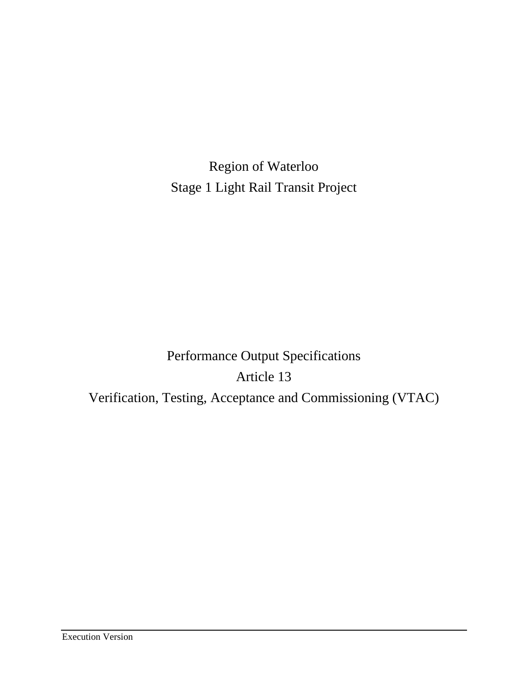Region of Waterloo Stage 1 Light Rail Transit Project

Performance Output Specifications Article 13 Verification, Testing, Acceptance and Commissioning (VTAC)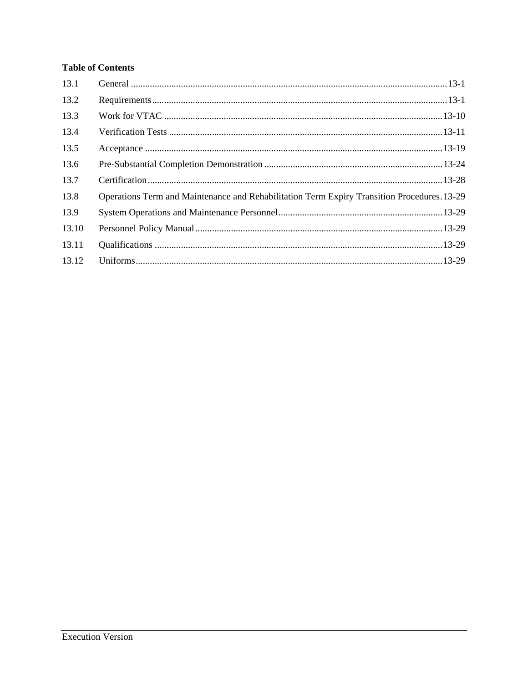# **Table of Contents**

| 13.1  |                                                                                             |  |
|-------|---------------------------------------------------------------------------------------------|--|
| 13.2  |                                                                                             |  |
| 13.3  |                                                                                             |  |
| 13.4  |                                                                                             |  |
| 13.5  |                                                                                             |  |
| 13.6  |                                                                                             |  |
| 13.7  |                                                                                             |  |
| 13.8  | Operations Term and Maintenance and Rehabilitation Term Expiry Transition Procedures. 13-29 |  |
| 13.9  |                                                                                             |  |
| 13.10 |                                                                                             |  |
| 13.11 |                                                                                             |  |
| 13.12 |                                                                                             |  |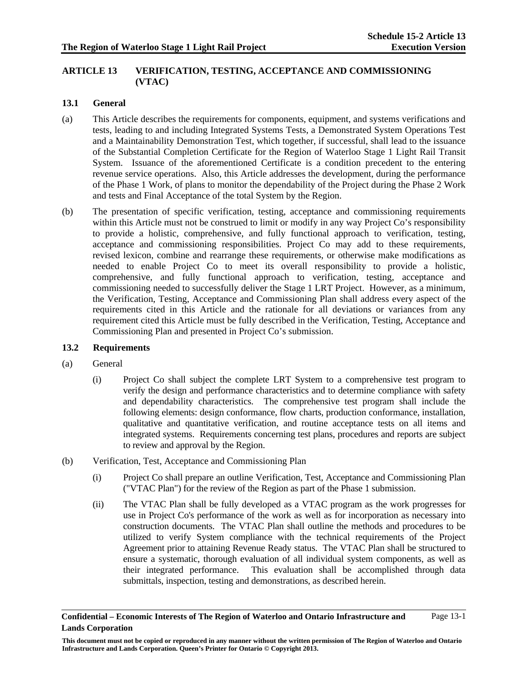# **ARTICLE 13 VERIFICATION, TESTING, ACCEPTANCE AND COMMISSIONING (VTAC)**

# **13.1 General**

- (a) This Article describes the requirements for components, equipment, and systems verifications and tests, leading to and including Integrated Systems Tests, a Demonstrated System Operations Test and a Maintainability Demonstration Test, which together, if successful, shall lead to the issuance of the Substantial Completion Certificate for the Region of Waterloo Stage 1 Light Rail Transit System. Issuance of the aforementioned Certificate is a condition precedent to the entering revenue service operations. Also, this Article addresses the development, during the performance of the Phase 1 Work, of plans to monitor the dependability of the Project during the Phase 2 Work and tests and Final Acceptance of the total System by the Region.
- (b) The presentation of specific verification, testing, acceptance and commissioning requirements within this Article must not be construed to limit or modify in any way Project Co's responsibility to provide a holistic, comprehensive, and fully functional approach to verification, testing, acceptance and commissioning responsibilities. Project Co may add to these requirements, revised lexicon, combine and rearrange these requirements, or otherwise make modifications as needed to enable Project Co to meet its overall responsibility to provide a holistic, comprehensive, and fully functional approach to verification, testing, acceptance and commissioning needed to successfully deliver the Stage 1 LRT Project. However, as a minimum, the Verification, Testing, Acceptance and Commissioning Plan shall address every aspect of the requirements cited in this Article and the rationale for all deviations or variances from any requirement cited this Article must be fully described in the Verification, Testing, Acceptance and Commissioning Plan and presented in Project Co's submission.

### **13.2 Requirements**

- (a) General
	- (i) Project Co shall subject the complete LRT System to a comprehensive test program to verify the design and performance characteristics and to determine compliance with safety and dependability characteristics. The comprehensive test program shall include the following elements: design conformance, flow charts, production conformance, installation, qualitative and quantitative verification, and routine acceptance tests on all items and integrated systems. Requirements concerning test plans, procedures and reports are subject to review and approval by the Region.
- (b) Verification, Test, Acceptance and Commissioning Plan
	- (i) Project Co shall prepare an outline Verification, Test, Acceptance and Commissioning Plan ("VTAC Plan") for the review of the Region as part of the Phase 1 submission.
	- (ii) The VTAC Plan shall be fully developed as a VTAC program as the work progresses for use in Project Co's performance of the work as well as for incorporation as necessary into construction documents. The VTAC Plan shall outline the methods and procedures to be utilized to verify System compliance with the technical requirements of the Project Agreement prior to attaining Revenue Ready status. The VTAC Plan shall be structured to ensure a systematic, thorough evaluation of all individual system components, as well as their integrated performance. This evaluation shall be accomplished through data submittals, inspection, testing and demonstrations, as described herein.

**Confidential – Economic Interests of The Region of Waterloo and Ontario Infrastructure and Lands Corporation**  Page 13-1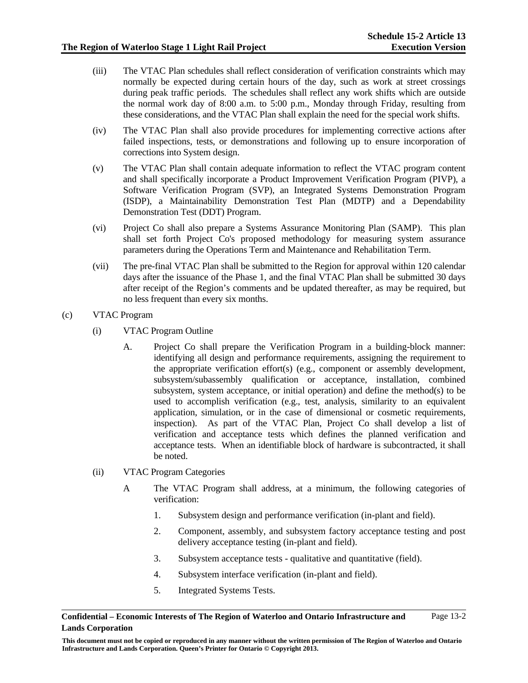- (iii) The VTAC Plan schedules shall reflect consideration of verification constraints which may normally be expected during certain hours of the day, such as work at street crossings during peak traffic periods. The schedules shall reflect any work shifts which are outside the normal work day of 8:00 a.m. to 5:00 p.m., Monday through Friday, resulting from these considerations, and the VTAC Plan shall explain the need for the special work shifts.
- (iv) The VTAC Plan shall also provide procedures for implementing corrective actions after failed inspections, tests, or demonstrations and following up to ensure incorporation of corrections into System design.
- (v) The VTAC Plan shall contain adequate information to reflect the VTAC program content and shall specifically incorporate a Product Improvement Verification Program (PIVP), a Software Verification Program (SVP), an Integrated Systems Demonstration Program (ISDP), a Maintainability Demonstration Test Plan (MDTP) and a Dependability Demonstration Test (DDT) Program.
- (vi) Project Co shall also prepare a Systems Assurance Monitoring Plan (SAMP). This plan shall set forth Project Co's proposed methodology for measuring system assurance parameters during the Operations Term and Maintenance and Rehabilitation Term.
- (vii) The pre-final VTAC Plan shall be submitted to the Region for approval within 120 calendar days after the issuance of the Phase 1, and the final VTAC Plan shall be submitted 30 days after receipt of the Region's comments and be updated thereafter, as may be required, but no less frequent than every six months.
- (c) VTAC Program
	- (i) VTAC Program Outline
		- A. Project Co shall prepare the Verification Program in a building-block manner: identifying all design and performance requirements, assigning the requirement to the appropriate verification effort(s) (e.g., component or assembly development, subsystem/subassembly qualification or acceptance, installation, combined subsystem, system acceptance, or initial operation) and define the method(s) to be used to accomplish verification (e.g., test, analysis, similarity to an equivalent application, simulation, or in the case of dimensional or cosmetic requirements, inspection). As part of the VTAC Plan, Project Co shall develop a list of verification and acceptance tests which defines the planned verification and acceptance tests. When an identifiable block of hardware is subcontracted, it shall be noted.
	- (ii) VTAC Program Categories
		- A The VTAC Program shall address, at a minimum, the following categories of verification:
			- 1. Subsystem design and performance verification (in-plant and field).
			- 2. Component, assembly, and subsystem factory acceptance testing and post delivery acceptance testing (in-plant and field).
			- 3. Subsystem acceptance tests qualitative and quantitative (field).
			- 4. Subsystem interface verification (in-plant and field).
			- 5. Integrated Systems Tests.

#### **Confidential – Economic Interests of The Region of Waterloo and Ontario Infrastructure and Lands Corporation**  Page 13-2

**This document must not be copied or reproduced in any manner without the written permission of The Region of Waterloo and Ontario Infrastructure and Lands Corporation. Queen's Printer for Ontario © Copyright 2013.**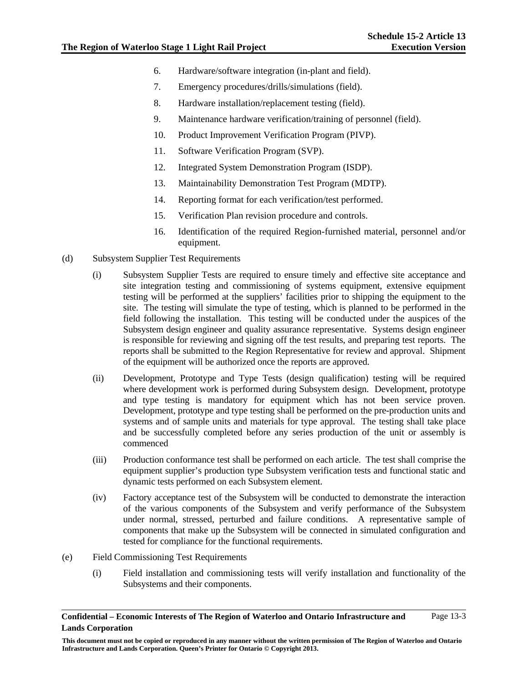- 6. Hardware/software integration (in-plant and field).
- 7. Emergency procedures/drills/simulations (field).
- 8. Hardware installation/replacement testing (field).
- 9. Maintenance hardware verification/training of personnel (field).
- 10. Product Improvement Verification Program (PIVP).
- 11. Software Verification Program (SVP).
- 12. Integrated System Demonstration Program (ISDP).
- 13. Maintainability Demonstration Test Program (MDTP).
- 14. Reporting format for each verification/test performed.
- 15. Verification Plan revision procedure and controls.
- 16. Identification of the required Region-furnished material, personnel and/or equipment.
- (d) Subsystem Supplier Test Requirements
	- (i) Subsystem Supplier Tests are required to ensure timely and effective site acceptance and site integration testing and commissioning of systems equipment, extensive equipment testing will be performed at the suppliers' facilities prior to shipping the equipment to the site. The testing will simulate the type of testing, which is planned to be performed in the field following the installation. This testing will be conducted under the auspices of the Subsystem design engineer and quality assurance representative. Systems design engineer is responsible for reviewing and signing off the test results, and preparing test reports. The reports shall be submitted to the Region Representative for review and approval. Shipment of the equipment will be authorized once the reports are approved.
	- (ii) Development, Prototype and Type Tests (design qualification) testing will be required where development work is performed during Subsystem design. Development, prototype and type testing is mandatory for equipment which has not been service proven. Development, prototype and type testing shall be performed on the pre-production units and systems and of sample units and materials for type approval. The testing shall take place and be successfully completed before any series production of the unit or assembly is commenced
	- (iii) Production conformance test shall be performed on each article. The test shall comprise the equipment supplier's production type Subsystem verification tests and functional static and dynamic tests performed on each Subsystem element.
	- (iv) Factory acceptance test of the Subsystem will be conducted to demonstrate the interaction of the various components of the Subsystem and verify performance of the Subsystem under normal, stressed, perturbed and failure conditions. A representative sample of components that make up the Subsystem will be connected in simulated configuration and tested for compliance for the functional requirements.
- (e) Field Commissioning Test Requirements
	- (i) Field installation and commissioning tests will verify installation and functionality of the Subsystems and their components.

**Confidential – Economic Interests of The Region of Waterloo and Ontario Infrastructure and Lands Corporation**  Page 13-3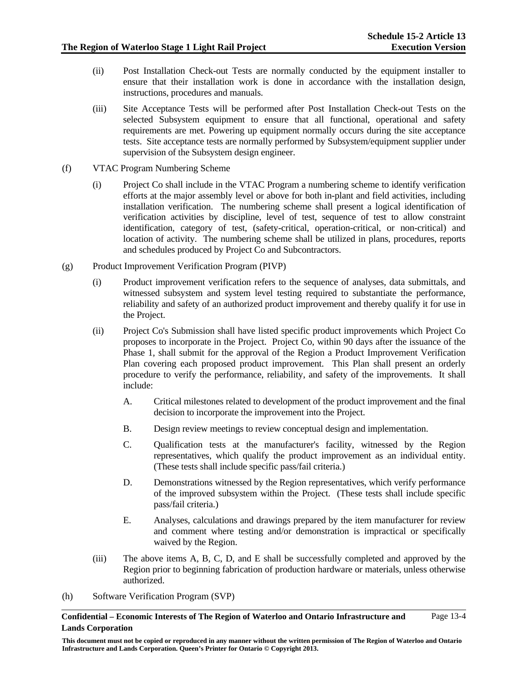- (ii) Post Installation Check-out Tests are normally conducted by the equipment installer to ensure that their installation work is done in accordance with the installation design, instructions, procedures and manuals.
- (iii) Site Acceptance Tests will be performed after Post Installation Check-out Tests on the selected Subsystem equipment to ensure that all functional, operational and safety requirements are met. Powering up equipment normally occurs during the site acceptance tests. Site acceptance tests are normally performed by Subsystem/equipment supplier under supervision of the Subsystem design engineer.
- (f) VTAC Program Numbering Scheme
	- (i) Project Co shall include in the VTAC Program a numbering scheme to identify verification efforts at the major assembly level or above for both in-plant and field activities, including installation verification. The numbering scheme shall present a logical identification of verification activities by discipline, level of test, sequence of test to allow constraint identification, category of test, (safety-critical, operation-critical, or non-critical) and location of activity. The numbering scheme shall be utilized in plans, procedures, reports and schedules produced by Project Co and Subcontractors.
- (g) Product Improvement Verification Program (PIVP)
	- (i) Product improvement verification refers to the sequence of analyses, data submittals, and witnessed subsystem and system level testing required to substantiate the performance, reliability and safety of an authorized product improvement and thereby qualify it for use in the Project.
	- (ii) Project Co's Submission shall have listed specific product improvements which Project Co proposes to incorporate in the Project. Project Co, within 90 days after the issuance of the Phase 1, shall submit for the approval of the Region a Product Improvement Verification Plan covering each proposed product improvement. This Plan shall present an orderly procedure to verify the performance, reliability, and safety of the improvements. It shall include:
		- A. Critical milestones related to development of the product improvement and the final decision to incorporate the improvement into the Project.
		- B. Design review meetings to review conceptual design and implementation.
		- C. Qualification tests at the manufacturer's facility, witnessed by the Region representatives, which qualify the product improvement as an individual entity. (These tests shall include specific pass/fail criteria.)
		- D. Demonstrations witnessed by the Region representatives, which verify performance of the improved subsystem within the Project. (These tests shall include specific pass/fail criteria.)
		- E. Analyses, calculations and drawings prepared by the item manufacturer for review and comment where testing and/or demonstration is impractical or specifically waived by the Region.
	- (iii) The above items A, B, C, D, and E shall be successfully completed and approved by the Region prior to beginning fabrication of production hardware or materials, unless otherwise authorized.
- (h) Software Verification Program (SVP)

**Confidential – Economic Interests of The Region of Waterloo and Ontario Infrastructure and Lands Corporation**  Page 13-4

**This document must not be copied or reproduced in any manner without the written permission of The Region of Waterloo and Ontario Infrastructure and Lands Corporation. Queen's Printer for Ontario © Copyright 2013.**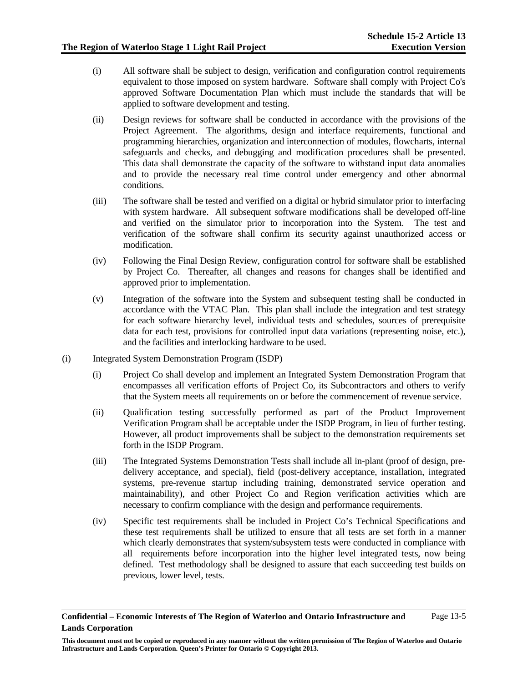- (i) All software shall be subject to design, verification and configuration control requirements equivalent to those imposed on system hardware. Software shall comply with Project Co's approved Software Documentation Plan which must include the standards that will be applied to software development and testing.
- (ii) Design reviews for software shall be conducted in accordance with the provisions of the Project Agreement. The algorithms, design and interface requirements, functional and programming hierarchies, organization and interconnection of modules, flowcharts, internal safeguards and checks, and debugging and modification procedures shall be presented. This data shall demonstrate the capacity of the software to withstand input data anomalies and to provide the necessary real time control under emergency and other abnormal conditions.
- (iii) The software shall be tested and verified on a digital or hybrid simulator prior to interfacing with system hardware. All subsequent software modifications shall be developed off-line and verified on the simulator prior to incorporation into the System. The test and verification of the software shall confirm its security against unauthorized access or modification.
- (iv) Following the Final Design Review, configuration control for software shall be established by Project Co. Thereafter, all changes and reasons for changes shall be identified and approved prior to implementation.
- (v) Integration of the software into the System and subsequent testing shall be conducted in accordance with the VTAC Plan. This plan shall include the integration and test strategy for each software hierarchy level, individual tests and schedules, sources of prerequisite data for each test, provisions for controlled input data variations (representing noise, etc.), and the facilities and interlocking hardware to be used.
- (i) Integrated System Demonstration Program (ISDP)
	- (i) Project Co shall develop and implement an Integrated System Demonstration Program that encompasses all verification efforts of Project Co, its Subcontractors and others to verify that the System meets all requirements on or before the commencement of revenue service.
	- (ii) Qualification testing successfully performed as part of the Product Improvement Verification Program shall be acceptable under the ISDP Program, in lieu of further testing. However, all product improvements shall be subject to the demonstration requirements set forth in the ISDP Program.
	- (iii) The Integrated Systems Demonstration Tests shall include all in-plant (proof of design, predelivery acceptance, and special), field (post-delivery acceptance, installation, integrated systems, pre-revenue startup including training, demonstrated service operation and maintainability), and other Project Co and Region verification activities which are necessary to confirm compliance with the design and performance requirements.
	- (iv) Specific test requirements shall be included in Project Co's Technical Specifications and these test requirements shall be utilized to ensure that all tests are set forth in a manner which clearly demonstrates that system/subsystem tests were conducted in compliance with all requirements before incorporation into the higher level integrated tests, now being defined. Test methodology shall be designed to assure that each succeeding test builds on previous, lower level, tests.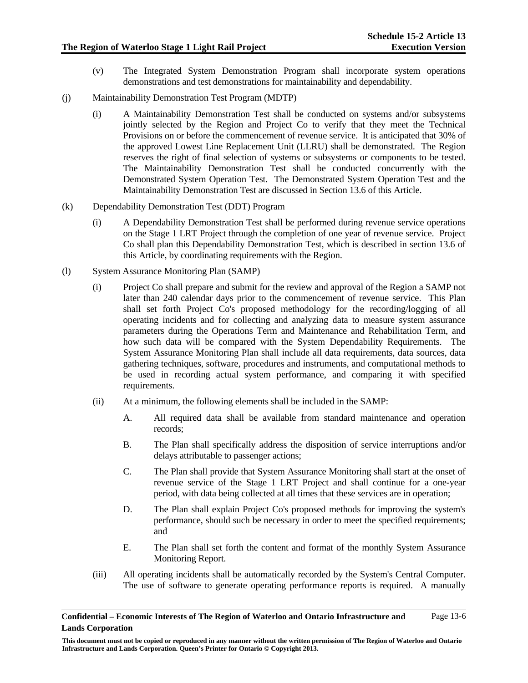- (v) The Integrated System Demonstration Program shall incorporate system operations demonstrations and test demonstrations for maintainability and dependability.
- (j) Maintainability Demonstration Test Program (MDTP)
	- (i) A Maintainability Demonstration Test shall be conducted on systems and/or subsystems jointly selected by the Region and Project Co to verify that they meet the Technical Provisions on or before the commencement of revenue service. It is anticipated that 30% of the approved Lowest Line Replacement Unit (LLRU) shall be demonstrated. The Region reserves the right of final selection of systems or subsystems or components to be tested. The Maintainability Demonstration Test shall be conducted concurrently with the Demonstrated System Operation Test. The Demonstrated System Operation Test and the Maintainability Demonstration Test are discussed in Section 13.6 of this Article.
- (k) Dependability Demonstration Test (DDT) Program
	- (i) A Dependability Demonstration Test shall be performed during revenue service operations on the Stage 1 LRT Project through the completion of one year of revenue service. Project Co shall plan this Dependability Demonstration Test, which is described in section 13.6 of this Article, by coordinating requirements with the Region.
- (l) System Assurance Monitoring Plan (SAMP)
	- (i) Project Co shall prepare and submit for the review and approval of the Region a SAMP not later than 240 calendar days prior to the commencement of revenue service. This Plan shall set forth Project Co's proposed methodology for the recording/logging of all operating incidents and for collecting and analyzing data to measure system assurance parameters during the Operations Term and Maintenance and Rehabilitation Term, and how such data will be compared with the System Dependability Requirements. The System Assurance Monitoring Plan shall include all data requirements, data sources, data gathering techniques, software, procedures and instruments, and computational methods to be used in recording actual system performance, and comparing it with specified requirements.
	- (ii) At a minimum, the following elements shall be included in the SAMP:
		- A. All required data shall be available from standard maintenance and operation records;
		- B. The Plan shall specifically address the disposition of service interruptions and/or delays attributable to passenger actions;
		- C. The Plan shall provide that System Assurance Monitoring shall start at the onset of revenue service of the Stage 1 LRT Project and shall continue for a one-year period, with data being collected at all times that these services are in operation;
		- D. The Plan shall explain Project Co's proposed methods for improving the system's performance, should such be necessary in order to meet the specified requirements; and
		- E. The Plan shall set forth the content and format of the monthly System Assurance Monitoring Report.
	- (iii) All operating incidents shall be automatically recorded by the System's Central Computer. The use of software to generate operating performance reports is required. A manually

**This document must not be copied or reproduced in any manner without the written permission of The Region of Waterloo and Ontario Infrastructure and Lands Corporation. Queen's Printer for Ontario © Copyright 2013.**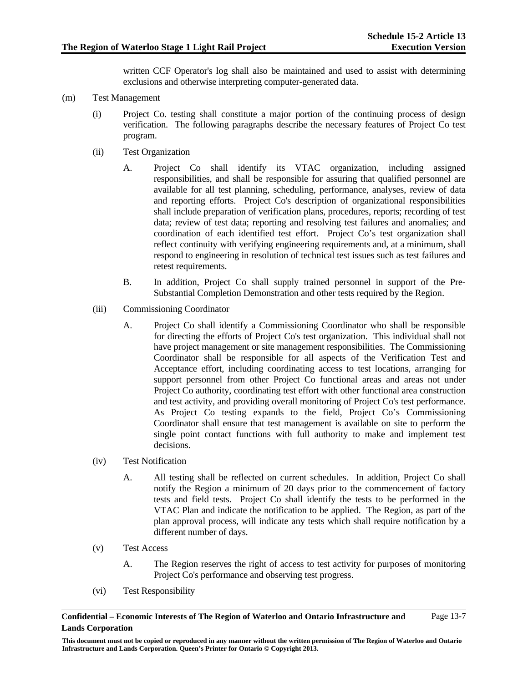written CCF Operator's log shall also be maintained and used to assist with determining exclusions and otherwise interpreting computer-generated data.

- (m) Test Management
	- (i) Project Co. testing shall constitute a major portion of the continuing process of design verification. The following paragraphs describe the necessary features of Project Co test program.
	- (ii) Test Organization
		- A. Project Co shall identify its VTAC organization, including assigned responsibilities, and shall be responsible for assuring that qualified personnel are available for all test planning, scheduling, performance, analyses, review of data and reporting efforts. Project Co's description of organizational responsibilities shall include preparation of verification plans, procedures, reports; recording of test data; review of test data; reporting and resolving test failures and anomalies; and coordination of each identified test effort. Project Co's test organization shall reflect continuity with verifying engineering requirements and, at a minimum, shall respond to engineering in resolution of technical test issues such as test failures and retest requirements.
		- B. In addition, Project Co shall supply trained personnel in support of the Pre-Substantial Completion Demonstration and other tests required by the Region.
	- (iii) Commissioning Coordinator
		- A. Project Co shall identify a Commissioning Coordinator who shall be responsible for directing the efforts of Project Co's test organization. This individual shall not have project management or site management responsibilities. The Commissioning Coordinator shall be responsible for all aspects of the Verification Test and Acceptance effort, including coordinating access to test locations, arranging for support personnel from other Project Co functional areas and areas not under Project Co authority, coordinating test effort with other functional area construction and test activity, and providing overall monitoring of Project Co's test performance. As Project Co testing expands to the field, Project Co's Commissioning Coordinator shall ensure that test management is available on site to perform the single point contact functions with full authority to make and implement test decisions.
	- (iv) Test Notification
		- A. All testing shall be reflected on current schedules. In addition, Project Co shall notify the Region a minimum of 20 days prior to the commencement of factory tests and field tests. Project Co shall identify the tests to be performed in the VTAC Plan and indicate the notification to be applied. The Region, as part of the plan approval process, will indicate any tests which shall require notification by a different number of days.
	- (v) Test Access
		- A. The Region reserves the right of access to test activity for purposes of monitoring Project Co's performance and observing test progress.
	- (vi) Test Responsibility

**Confidential – Economic Interests of The Region of Waterloo and Ontario Infrastructure and Lands Corporation**  Page 13-7

**This document must not be copied or reproduced in any manner without the written permission of The Region of Waterloo and Ontario Infrastructure and Lands Corporation. Queen's Printer for Ontario © Copyright 2013.**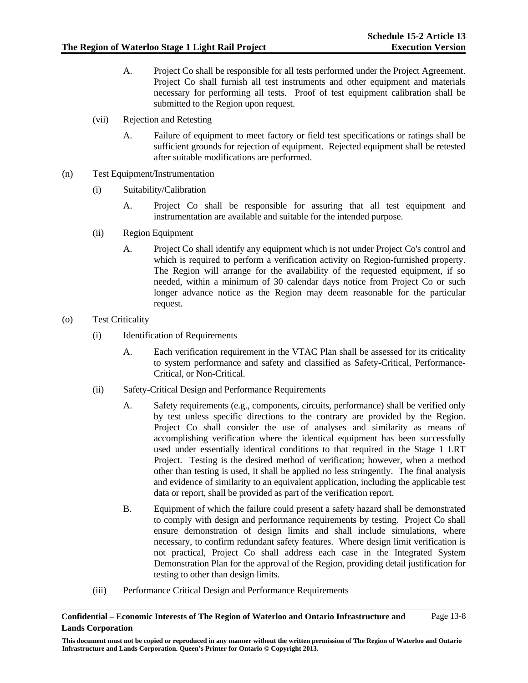- A. Project Co shall be responsible for all tests performed under the Project Agreement. Project Co shall furnish all test instruments and other equipment and materials necessary for performing all tests. Proof of test equipment calibration shall be submitted to the Region upon request.
- (vii) Rejection and Retesting
	- A. Failure of equipment to meet factory or field test specifications or ratings shall be sufficient grounds for rejection of equipment. Rejected equipment shall be retested after suitable modifications are performed.
- (n) Test Equipment/Instrumentation
	- (i) Suitability/Calibration
		- A. Project Co shall be responsible for assuring that all test equipment and instrumentation are available and suitable for the intended purpose.
	- (ii) Region Equipment
		- A. Project Co shall identify any equipment which is not under Project Co's control and which is required to perform a verification activity on Region-furnished property. The Region will arrange for the availability of the requested equipment, if so needed, within a minimum of 30 calendar days notice from Project Co or such longer advance notice as the Region may deem reasonable for the particular request.
- (o) Test Criticality
	- (i) Identification of Requirements
		- A. Each verification requirement in the VTAC Plan shall be assessed for its criticality to system performance and safety and classified as Safety-Critical, Performance-Critical, or Non-Critical.
	- (ii) Safety-Critical Design and Performance Requirements
		- A. Safety requirements (e.g., components, circuits, performance) shall be verified only by test unless specific directions to the contrary are provided by the Region. Project Co shall consider the use of analyses and similarity as means of accomplishing verification where the identical equipment has been successfully used under essentially identical conditions to that required in the Stage 1 LRT Project. Testing is the desired method of verification; however, when a method other than testing is used, it shall be applied no less stringently. The final analysis and evidence of similarity to an equivalent application, including the applicable test data or report, shall be provided as part of the verification report.
		- B. Equipment of which the failure could present a safety hazard shall be demonstrated to comply with design and performance requirements by testing. Project Co shall ensure demonstration of design limits and shall include simulations, where necessary, to confirm redundant safety features. Where design limit verification is not practical, Project Co shall address each case in the Integrated System Demonstration Plan for the approval of the Region, providing detail justification for testing to other than design limits.
	- (iii) Performance Critical Design and Performance Requirements

**Confidential – Economic Interests of The Region of Waterloo and Ontario Infrastructure and Lands Corporation**  Page 13-8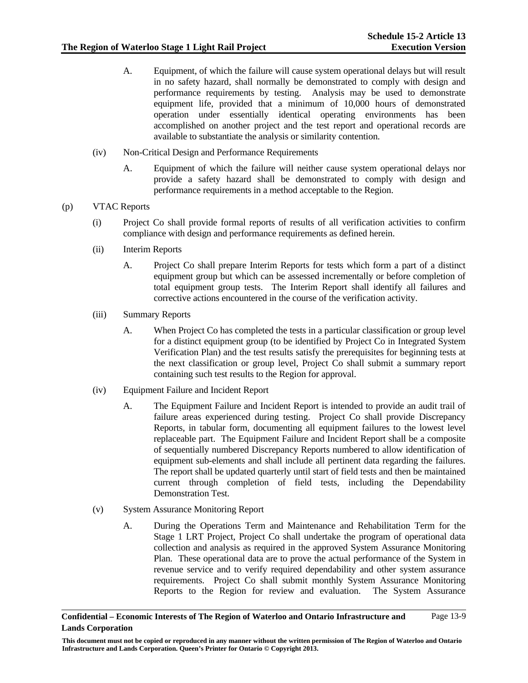- A. Equipment, of which the failure will cause system operational delays but will result in no safety hazard, shall normally be demonstrated to comply with design and performance requirements by testing. Analysis may be used to demonstrate equipment life, provided that a minimum of 10,000 hours of demonstrated operation under essentially identical operating environments has been accomplished on another project and the test report and operational records are available to substantiate the analysis or similarity contention.
- (iv) Non-Critical Design and Performance Requirements
	- A. Equipment of which the failure will neither cause system operational delays nor provide a safety hazard shall be demonstrated to comply with design and performance requirements in a method acceptable to the Region.

### (p) VTAC Reports

- (i) Project Co shall provide formal reports of results of all verification activities to confirm compliance with design and performance requirements as defined herein.
- (ii) Interim Reports
	- A. Project Co shall prepare Interim Reports for tests which form a part of a distinct equipment group but which can be assessed incrementally or before completion of total equipment group tests. The Interim Report shall identify all failures and corrective actions encountered in the course of the verification activity.
- (iii) Summary Reports
	- A. When Project Co has completed the tests in a particular classification or group level for a distinct equipment group (to be identified by Project Co in Integrated System Verification Plan) and the test results satisfy the prerequisites for beginning tests at the next classification or group level, Project Co shall submit a summary report containing such test results to the Region for approval.
- (iv) Equipment Failure and Incident Report
	- A. The Equipment Failure and Incident Report is intended to provide an audit trail of failure areas experienced during testing. Project Co shall provide Discrepancy Reports, in tabular form, documenting all equipment failures to the lowest level replaceable part. The Equipment Failure and Incident Report shall be a composite of sequentially numbered Discrepancy Reports numbered to allow identification of equipment sub-elements and shall include all pertinent data regarding the failures. The report shall be updated quarterly until start of field tests and then be maintained current through completion of field tests, including the Dependability Demonstration Test.
- (v) System Assurance Monitoring Report
	- A. During the Operations Term and Maintenance and Rehabilitation Term for the Stage 1 LRT Project, Project Co shall undertake the program of operational data collection and analysis as required in the approved System Assurance Monitoring Plan. These operational data are to prove the actual performance of the System in revenue service and to verify required dependability and other system assurance requirements. Project Co shall submit monthly System Assurance Monitoring Reports to the Region for review and evaluation. The System Assurance

**This document must not be copied or reproduced in any manner without the written permission of The Region of Waterloo and Ontario Infrastructure and Lands Corporation. Queen's Printer for Ontario © Copyright 2013.**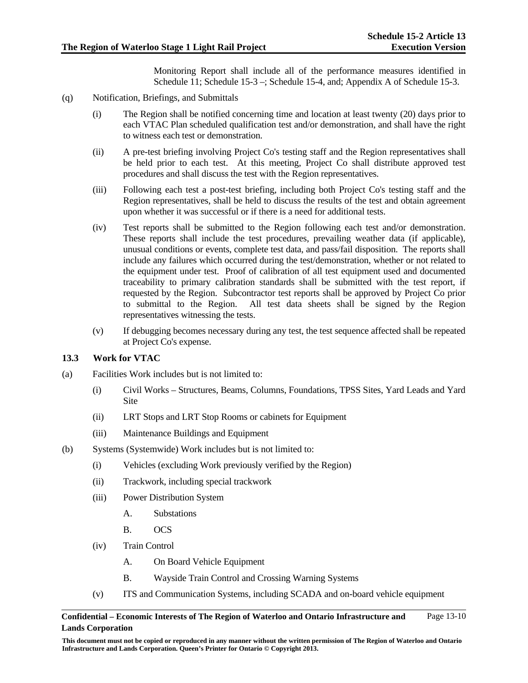Monitoring Report shall include all of the performance measures identified in Schedule 11; Schedule 15-3 –; Schedule 15-4, and; Appendix A of Schedule 15-3.

- (q) Notification, Briefings, and Submittals
	- (i) The Region shall be notified concerning time and location at least twenty (20) days prior to each VTAC Plan scheduled qualification test and/or demonstration, and shall have the right to witness each test or demonstration.
	- (ii) A pre-test briefing involving Project Co's testing staff and the Region representatives shall be held prior to each test. At this meeting, Project Co shall distribute approved test procedures and shall discuss the test with the Region representatives.
	- (iii) Following each test a post-test briefing, including both Project Co's testing staff and the Region representatives, shall be held to discuss the results of the test and obtain agreement upon whether it was successful or if there is a need for additional tests.
	- (iv) Test reports shall be submitted to the Region following each test and/or demonstration. These reports shall include the test procedures, prevailing weather data (if applicable), unusual conditions or events, complete test data, and pass/fail disposition. The reports shall include any failures which occurred during the test/demonstration, whether or not related to the equipment under test. Proof of calibration of all test equipment used and documented traceability to primary calibration standards shall be submitted with the test report, if requested by the Region. Subcontractor test reports shall be approved by Project Co prior to submittal to the Region. All test data sheets shall be signed by the Region representatives witnessing the tests.
	- (v) If debugging becomes necessary during any test, the test sequence affected shall be repeated at Project Co's expense.

# **13.3 Work for VTAC**

- (a) Facilities Work includes but is not limited to:
	- (i) Civil Works Structures, Beams, Columns, Foundations, TPSS Sites, Yard Leads and Yard **Site**
	- (ii) LRT Stops and LRT Stop Rooms or cabinets for Equipment
	- (iii) Maintenance Buildings and Equipment
- (b) Systems (Systemwide) Work includes but is not limited to:
	- (i) Vehicles (excluding Work previously verified by the Region)
	- (ii) Trackwork, including special trackwork
	- (iii) Power Distribution System
		- A. Substations
		- B. OCS
	- (iv) Train Control
		- A. On Board Vehicle Equipment
		- B. Wayside Train Control and Crossing Warning Systems
	- (v) ITS and Communication Systems, including SCADA and on-board vehicle equipment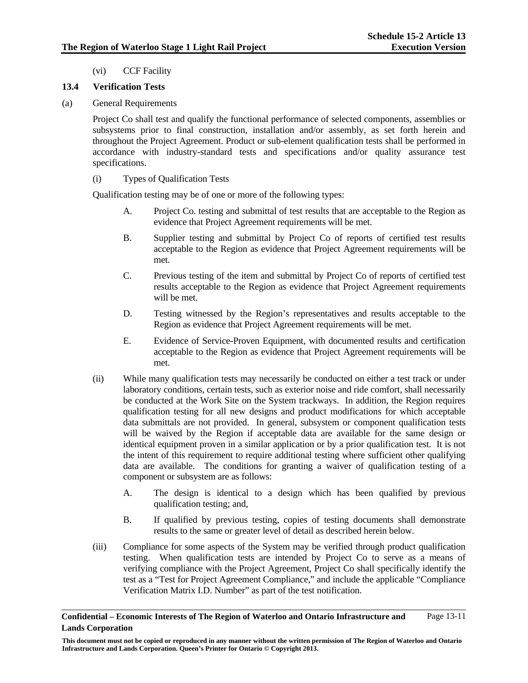(vi) CCF Facility

### **13.4 Verification Tests**

(a) General Requirements

Project Co shall test and qualify the functional performance of selected components, assemblies or subsystems prior to final construction, installation and/or assembly, as set forth herein and throughout the Project Agreement. Product or sub-element qualification tests shall be performed in accordance with industry-standard tests and specifications and/or quality assurance test specifications.

(i) Types of Qualification Tests

Qualification testing may be of one or more of the following types:

- A. Project Co. testing and submittal of test results that are acceptable to the Region as evidence that Project Agreement requirements will be met.
- B. Supplier testing and submittal by Project Co of reports of certified test results acceptable to the Region as evidence that Project Agreement requirements will be met.
- C. Previous testing of the item and submittal by Project Co of reports of certified test results acceptable to the Region as evidence that Project Agreement requirements will be met.
- D. Testing witnessed by the Region's representatives and results acceptable to the Region as evidence that Project Agreement requirements will be met.
- E. Evidence of Service-Proven Equipment, with documented results and certification acceptable to the Region as evidence that Project Agreement requirements will be met.
- (ii) While many qualification tests may necessarily be conducted on either a test track or under laboratory conditions, certain tests, such as exterior noise and ride comfort, shall necessarily be conducted at the Work Site on the System trackways. In addition, the Region requires qualification testing for all new designs and product modifications for which acceptable data submittals are not provided. In general, subsystem or component qualification tests will be waived by the Region if acceptable data are available for the same design or identical equipment proven in a similar application or by a prior qualification test. It is not the intent of this requirement to require additional testing where sufficient other qualifying data are available. The conditions for granting a waiver of qualification testing of a component or subsystem are as follows:
	- A. The design is identical to a design which has been qualified by previous qualification testing; and,
	- B. If qualified by previous testing, copies of testing documents shall demonstrate results to the same or greater level of detail as described herein below.
- (iii) Compliance for some aspects of the System may be verified through product qualification testing. When qualification tests are intended by Project Co to serve as a means of verifying compliance with the Project Agreement, Project Co shall specifically identify the test as a "Test for Project Agreement Compliance," and include the applicable "Compliance Verification Matrix I.D. Number" as part of the test notification.

**Confidential – Economic Interests of The Region of Waterloo and Ontario Infrastructure and Lands Corporation**  Page 13-11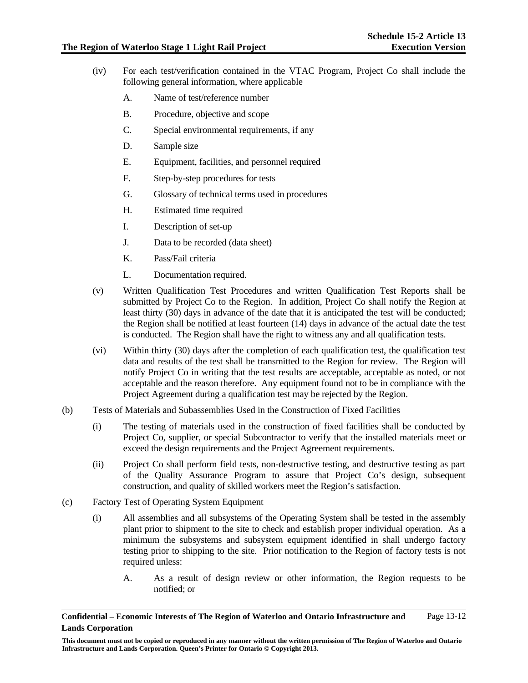- (iv) For each test/verification contained in the VTAC Program, Project Co shall include the following general information, where applicable
	- A. Name of test/reference number
	- B. Procedure, objective and scope
	- C. Special environmental requirements, if any
	- D. Sample size
	- E. Equipment, facilities, and personnel required
	- F. Step-by-step procedures for tests
	- G. Glossary of technical terms used in procedures
	- H. Estimated time required
	- I. Description of set-up
	- J. Data to be recorded (data sheet)
	- K. Pass/Fail criteria
	- L. Documentation required.
- (v) Written Qualification Test Procedures and written Qualification Test Reports shall be submitted by Project Co to the Region. In addition, Project Co shall notify the Region at least thirty (30) days in advance of the date that it is anticipated the test will be conducted; the Region shall be notified at least fourteen (14) days in advance of the actual date the test is conducted. The Region shall have the right to witness any and all qualification tests.
- (vi) Within thirty (30) days after the completion of each qualification test, the qualification test data and results of the test shall be transmitted to the Region for review. The Region will notify Project Co in writing that the test results are acceptable, acceptable as noted, or not acceptable and the reason therefore. Any equipment found not to be in compliance with the Project Agreement during a qualification test may be rejected by the Region.
- (b) Tests of Materials and Subassemblies Used in the Construction of Fixed Facilities
	- (i) The testing of materials used in the construction of fixed facilities shall be conducted by Project Co, supplier, or special Subcontractor to verify that the installed materials meet or exceed the design requirements and the Project Agreement requirements.
	- (ii) Project Co shall perform field tests, non-destructive testing, and destructive testing as part of the Quality Assurance Program to assure that Project Co's design, subsequent construction, and quality of skilled workers meet the Region's satisfaction.
- (c) Factory Test of Operating System Equipment
	- (i) All assemblies and all subsystems of the Operating System shall be tested in the assembly plant prior to shipment to the site to check and establish proper individual operation. As a minimum the subsystems and subsystem equipment identified in shall undergo factory testing prior to shipping to the site. Prior notification to the Region of factory tests is not required unless:
		- A. As a result of design review or other information, the Region requests to be notified; or

**Confidential – Economic Interests of The Region of Waterloo and Ontario Infrastructure and Lands Corporation**  Page 13-12

**This document must not be copied or reproduced in any manner without the written permission of The Region of Waterloo and Ontario Infrastructure and Lands Corporation. Queen's Printer for Ontario © Copyright 2013.**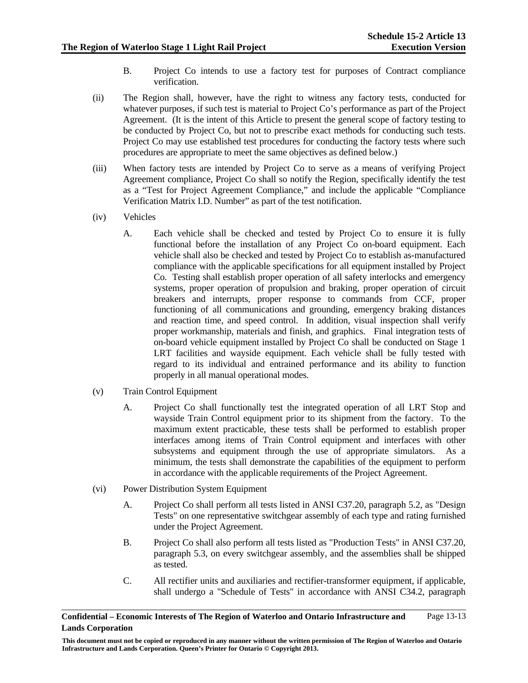- B. Project Co intends to use a factory test for purposes of Contract compliance verification.
- (ii) The Region shall, however, have the right to witness any factory tests, conducted for whatever purposes, if such test is material to Project Co's performance as part of the Project Agreement. (It is the intent of this Article to present the general scope of factory testing to be conducted by Project Co, but not to prescribe exact methods for conducting such tests. Project Co may use established test procedures for conducting the factory tests where such procedures are appropriate to meet the same objectives as defined below.)
- (iii) When factory tests are intended by Project Co to serve as a means of verifying Project Agreement compliance, Project Co shall so notify the Region, specifically identify the test as a "Test for Project Agreement Compliance," and include the applicable "Compliance Verification Matrix I.D. Number" as part of the test notification.
- (iv) Vehicles
	- A. Each vehicle shall be checked and tested by Project Co to ensure it is fully functional before the installation of any Project Co on-board equipment. Each vehicle shall also be checked and tested by Project Co to establish as-manufactured compliance with the applicable specifications for all equipment installed by Project Co. Testing shall establish proper operation of all safety interlocks and emergency systems, proper operation of propulsion and braking, proper operation of circuit breakers and interrupts, proper response to commands from CCF, proper functioning of all communications and grounding, emergency braking distances and reaction time, and speed control. In addition, visual inspection shall verify proper workmanship, materials and finish, and graphics. Final integration tests of on-board vehicle equipment installed by Project Co shall be conducted on Stage 1 LRT facilities and wayside equipment. Each vehicle shall be fully tested with regard to its individual and entrained performance and its ability to function properly in all manual operational modes.
- (v) Train Control Equipment
	- A. Project Co shall functionally test the integrated operation of all LRT Stop and wayside Train Control equipment prior to its shipment from the factory. To the maximum extent practicable, these tests shall be performed to establish proper interfaces among items of Train Control equipment and interfaces with other subsystems and equipment through the use of appropriate simulators. As a minimum, the tests shall demonstrate the capabilities of the equipment to perform in accordance with the applicable requirements of the Project Agreement.
- (vi) Power Distribution System Equipment
	- A. Project Co shall perform all tests listed in ANSI C37.20, paragraph 5.2, as "Design Tests" on one representative switchgear assembly of each type and rating furnished under the Project Agreement.
	- B. Project Co shall also perform all tests listed as "Production Tests" in ANSI C37.20, paragraph 5.3, on every switchgear assembly, and the assemblies shall be shipped as tested.
	- C. All rectifier units and auxiliaries and rectifier-transformer equipment, if applicable, shall undergo a "Schedule of Tests" in accordance with ANSI C34.2, paragraph

**Confidential – Economic Interests of The Region of Waterloo and Ontario Infrastructure and Lands Corporation**  Page 13-13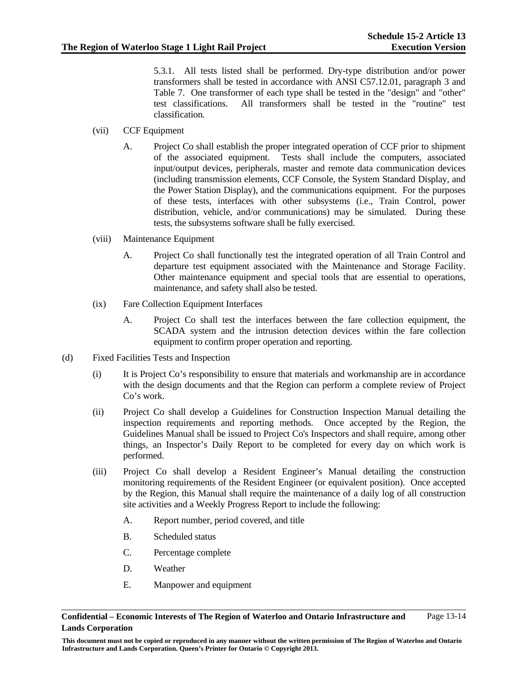5.3.1. All tests listed shall be performed. Dry-type distribution and/or power transformers shall be tested in accordance with ANSI C57.12.01, paragraph 3 and Table 7. One transformer of each type shall be tested in the "design" and "other" test classifications. All transformers shall be tested in the "routine" test classification.

- (vii) CCF Equipment
	- A. Project Co shall establish the proper integrated operation of CCF prior to shipment of the associated equipment. Tests shall include the computers, associated input/output devices, peripherals, master and remote data communication devices (including transmission elements, CCF Console, the System Standard Display, and the Power Station Display), and the communications equipment. For the purposes of these tests, interfaces with other subsystems (i.e., Train Control, power distribution, vehicle, and/or communications) may be simulated. During these tests, the subsystems software shall be fully exercised.
- (viii) Maintenance Equipment
	- A. Project Co shall functionally test the integrated operation of all Train Control and departure test equipment associated with the Maintenance and Storage Facility. Other maintenance equipment and special tools that are essential to operations, maintenance, and safety shall also be tested.
- (ix) Fare Collection Equipment Interfaces
	- A. Project Co shall test the interfaces between the fare collection equipment, the SCADA system and the intrusion detection devices within the fare collection equipment to confirm proper operation and reporting.
- (d) Fixed Facilities Tests and Inspection
	- (i) It is Project Co's responsibility to ensure that materials and workmanship are in accordance with the design documents and that the Region can perform a complete review of Project Co's work.
	- (ii) Project Co shall develop a Guidelines for Construction Inspection Manual detailing the inspection requirements and reporting methods. Once accepted by the Region, the Guidelines Manual shall be issued to Project Co's Inspectors and shall require, among other things, an Inspector's Daily Report to be completed for every day on which work is performed.
	- (iii) Project Co shall develop a Resident Engineer's Manual detailing the construction monitoring requirements of the Resident Engineer (or equivalent position). Once accepted by the Region, this Manual shall require the maintenance of a daily log of all construction site activities and a Weekly Progress Report to include the following:
		- A. Report number, period covered, and title
		- B. Scheduled status
		- C. Percentage complete
		- D. Weather
		- E. Manpower and equipment

**This document must not be copied or reproduced in any manner without the written permission of The Region of Waterloo and Ontario Infrastructure and Lands Corporation. Queen's Printer for Ontario © Copyright 2013.**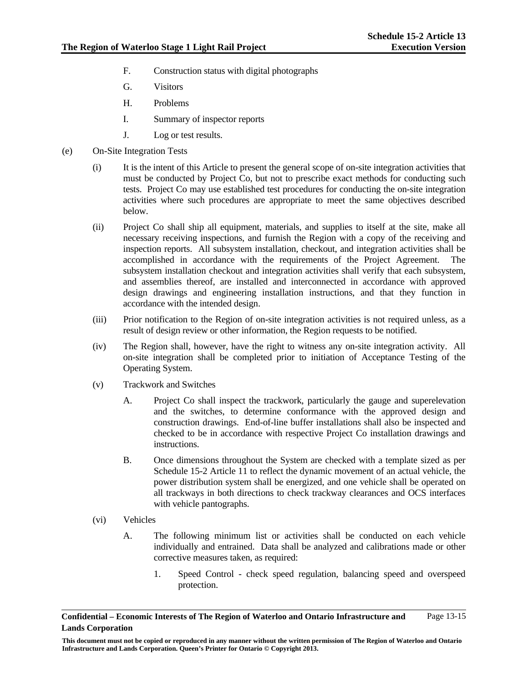- F. Construction status with digital photographs
- G. Visitors
- H. Problems
- I. Summary of inspector reports
- J. Log or test results.
- (e) On-Site Integration Tests
	- (i) It is the intent of this Article to present the general scope of on-site integration activities that must be conducted by Project Co, but not to prescribe exact methods for conducting such tests. Project Co may use established test procedures for conducting the on-site integration activities where such procedures are appropriate to meet the same objectives described below.
	- (ii) Project Co shall ship all equipment, materials, and supplies to itself at the site, make all necessary receiving inspections, and furnish the Region with a copy of the receiving and inspection reports. All subsystem installation, checkout, and integration activities shall be accomplished in accordance with the requirements of the Project Agreement. The subsystem installation checkout and integration activities shall verify that each subsystem, and assemblies thereof, are installed and interconnected in accordance with approved design drawings and engineering installation instructions, and that they function in accordance with the intended design.
	- (iii) Prior notification to the Region of on-site integration activities is not required unless, as a result of design review or other information, the Region requests to be notified.
	- (iv) The Region shall, however, have the right to witness any on-site integration activity. All on-site integration shall be completed prior to initiation of Acceptance Testing of the Operating System.
	- (v) Trackwork and Switches
		- A. Project Co shall inspect the trackwork, particularly the gauge and superelevation and the switches, to determine conformance with the approved design and construction drawings. End-of-line buffer installations shall also be inspected and checked to be in accordance with respective Project Co installation drawings and instructions.
		- B. Once dimensions throughout the System are checked with a template sized as per Schedule 15-2 Article 11 to reflect the dynamic movement of an actual vehicle, the power distribution system shall be energized, and one vehicle shall be operated on all trackways in both directions to check trackway clearances and OCS interfaces with vehicle pantographs.
	- (vi) Vehicles
		- A. The following minimum list or activities shall be conducted on each vehicle individually and entrained. Data shall be analyzed and calibrations made or other corrective measures taken, as required:
			- 1. Speed Control check speed regulation, balancing speed and overspeed protection.

**Confidential – Economic Interests of The Region of Waterloo and Ontario Infrastructure and Lands Corporation**  Page 13-15

**This document must not be copied or reproduced in any manner without the written permission of The Region of Waterloo and Ontario Infrastructure and Lands Corporation. Queen's Printer for Ontario © Copyright 2013.**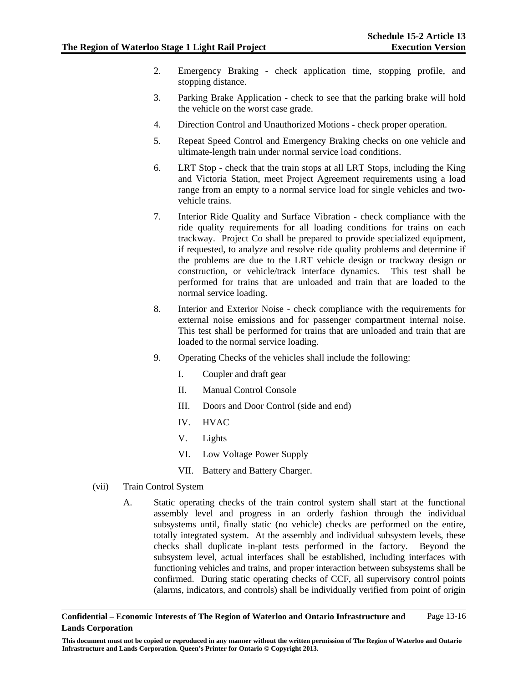- 2. Emergency Braking check application time, stopping profile, and stopping distance.
- 3. Parking Brake Application check to see that the parking brake will hold the vehicle on the worst case grade.
- 4. Direction Control and Unauthorized Motions check proper operation.
- 5. Repeat Speed Control and Emergency Braking checks on one vehicle and ultimate-length train under normal service load conditions.
- 6. LRT Stop check that the train stops at all LRT Stops, including the King and Victoria Station, meet Project Agreement requirements using a load range from an empty to a normal service load for single vehicles and twovehicle trains.
- 7. Interior Ride Quality and Surface Vibration check compliance with the ride quality requirements for all loading conditions for trains on each trackway. Project Co shall be prepared to provide specialized equipment, if requested, to analyze and resolve ride quality problems and determine if the problems are due to the LRT vehicle design or trackway design or construction, or vehicle/track interface dynamics. This test shall be performed for trains that are unloaded and train that are loaded to the normal service loading.
- 8. Interior and Exterior Noise check compliance with the requirements for external noise emissions and for passenger compartment internal noise. This test shall be performed for trains that are unloaded and train that are loaded to the normal service loading.
- 9. Operating Checks of the vehicles shall include the following:
	- I. Coupler and draft gear
	- II. Manual Control Console
	- III. Doors and Door Control (side and end)
	- IV. HVAC
	- V. Lights
	- VI. Low Voltage Power Supply
	- VII. Battery and Battery Charger.
- (vii) Train Control System
	- A. Static operating checks of the train control system shall start at the functional assembly level and progress in an orderly fashion through the individual subsystems until, finally static (no vehicle) checks are performed on the entire, totally integrated system. At the assembly and individual subsystem levels, these checks shall duplicate in-plant tests performed in the factory. Beyond the subsystem level, actual interfaces shall be established, including interfaces with functioning vehicles and trains, and proper interaction between subsystems shall be confirmed. During static operating checks of CCF, all supervisory control points (alarms, indicators, and controls) shall be individually verified from point of origin

**Confidential – Economic Interests of The Region of Waterloo and Ontario Infrastructure and Lands Corporation**  Page 13-16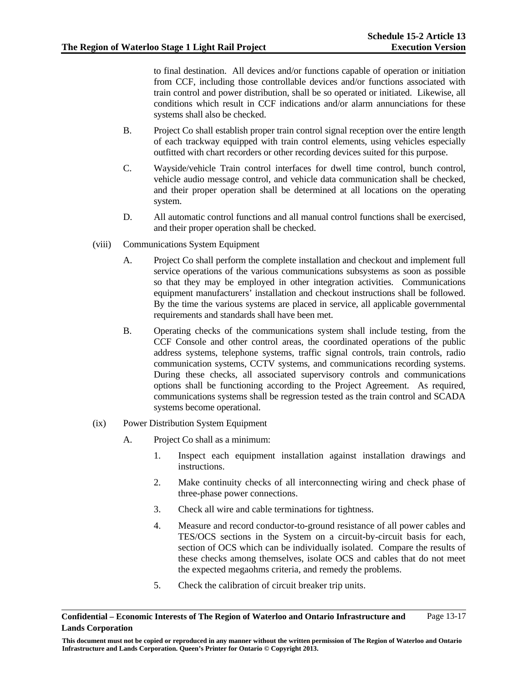to final destination. All devices and/or functions capable of operation or initiation from CCF, including those controllable devices and/or functions associated with train control and power distribution, shall be so operated or initiated. Likewise, all conditions which result in CCF indications and/or alarm annunciations for these systems shall also be checked.

- B. Project Co shall establish proper train control signal reception over the entire length of each trackway equipped with train control elements, using vehicles especially outfitted with chart recorders or other recording devices suited for this purpose.
- C. Wayside/vehicle Train control interfaces for dwell time control, bunch control, vehicle audio message control, and vehicle data communication shall be checked, and their proper operation shall be determined at all locations on the operating system.
- D. All automatic control functions and all manual control functions shall be exercised, and their proper operation shall be checked.
- (viii) Communications System Equipment
	- A. Project Co shall perform the complete installation and checkout and implement full service operations of the various communications subsystems as soon as possible so that they may be employed in other integration activities. Communications equipment manufacturers' installation and checkout instructions shall be followed. By the time the various systems are placed in service, all applicable governmental requirements and standards shall have been met.
	- B. Operating checks of the communications system shall include testing, from the CCF Console and other control areas, the coordinated operations of the public address systems, telephone systems, traffic signal controls, train controls, radio communication systems, CCTV systems, and communications recording systems. During these checks, all associated supervisory controls and communications options shall be functioning according to the Project Agreement. As required, communications systems shall be regression tested as the train control and SCADA systems become operational.
- (ix) Power Distribution System Equipment
	- A. Project Co shall as a minimum:
		- 1. Inspect each equipment installation against installation drawings and instructions.
		- 2. Make continuity checks of all interconnecting wiring and check phase of three-phase power connections.
		- 3. Check all wire and cable terminations for tightness.
		- 4. Measure and record conductor-to-ground resistance of all power cables and TES/OCS sections in the System on a circuit-by-circuit basis for each, section of OCS which can be individually isolated. Compare the results of these checks among themselves, isolate OCS and cables that do not meet the expected megaohms criteria, and remedy the problems.
		- 5. Check the calibration of circuit breaker trip units.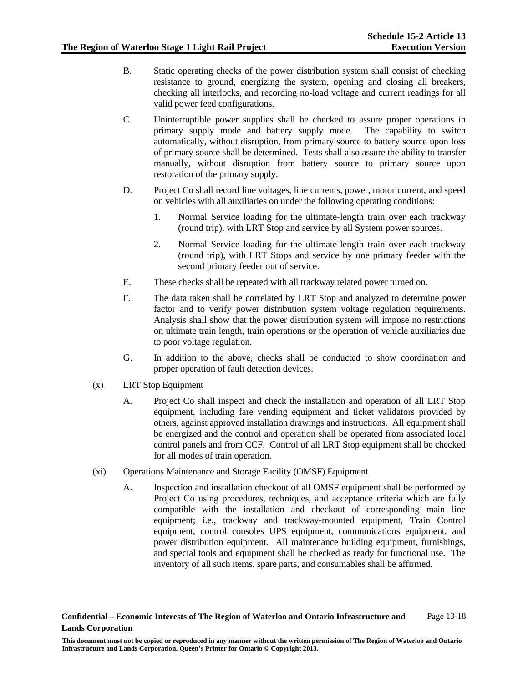- B. Static operating checks of the power distribution system shall consist of checking resistance to ground, energizing the system, opening and closing all breakers, checking all interlocks, and recording no-load voltage and current readings for all valid power feed configurations.
- C. Uninterruptible power supplies shall be checked to assure proper operations in primary supply mode and battery supply mode. The capability to switch automatically, without disruption, from primary source to battery source upon loss of primary source shall be determined. Tests shall also assure the ability to transfer manually, without disruption from battery source to primary source upon restoration of the primary supply.
- D. Project Co shall record line voltages, line currents, power, motor current, and speed on vehicles with all auxiliaries on under the following operating conditions:
	- 1. Normal Service loading for the ultimate-length train over each trackway (round trip), with LRT Stop and service by all System power sources.
	- 2. Normal Service loading for the ultimate-length train over each trackway (round trip), with LRT Stops and service by one primary feeder with the second primary feeder out of service.
- E. These checks shall be repeated with all trackway related power turned on.
- F. The data taken shall be correlated by LRT Stop and analyzed to determine power factor and to verify power distribution system voltage regulation requirements. Analysis shall show that the power distribution system will impose no restrictions on ultimate train length, train operations or the operation of vehicle auxiliaries due to poor voltage regulation.
- G. In addition to the above, checks shall be conducted to show coordination and proper operation of fault detection devices.
- (x) LRT Stop Equipment
	- A. Project Co shall inspect and check the installation and operation of all LRT Stop equipment, including fare vending equipment and ticket validators provided by others, against approved installation drawings and instructions. All equipment shall be energized and the control and operation shall be operated from associated local control panels and from CCF. Control of all LRT Stop equipment shall be checked for all modes of train operation.
- (xi) Operations Maintenance and Storage Facility (OMSF) Equipment
	- A. Inspection and installation checkout of all OMSF equipment shall be performed by Project Co using procedures, techniques, and acceptance criteria which are fully compatible with the installation and checkout of corresponding main line equipment; i.e., trackway and trackway-mounted equipment, Train Control equipment, control consoles UPS equipment, communications equipment, and power distribution equipment. All maintenance building equipment, furnishings, and special tools and equipment shall be checked as ready for functional use. The inventory of all such items, spare parts, and consumables shall be affirmed.

**This document must not be copied or reproduced in any manner without the written permission of The Region of Waterloo and Ontario Infrastructure and Lands Corporation. Queen's Printer for Ontario © Copyright 2013.**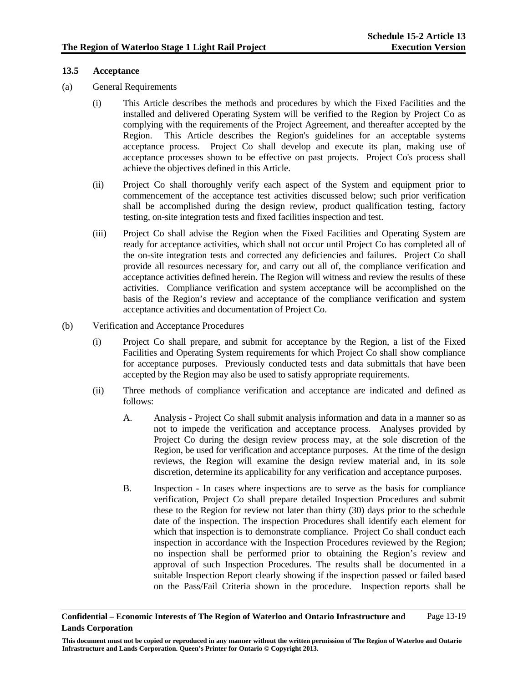### **13.5 Acceptance**

- (a) General Requirements
	- (i) This Article describes the methods and procedures by which the Fixed Facilities and the installed and delivered Operating System will be verified to the Region by Project Co as complying with the requirements of the Project Agreement, and thereafter accepted by the Region. This Article describes the Region's guidelines for an acceptable systems acceptance process. Project Co shall develop and execute its plan, making use of acceptance processes shown to be effective on past projects. Project Co's process shall achieve the objectives defined in this Article.
	- (ii) Project Co shall thoroughly verify each aspect of the System and equipment prior to commencement of the acceptance test activities discussed below; such prior verification shall be accomplished during the design review, product qualification testing, factory testing, on-site integration tests and fixed facilities inspection and test.
	- (iii) Project Co shall advise the Region when the Fixed Facilities and Operating System are ready for acceptance activities, which shall not occur until Project Co has completed all of the on-site integration tests and corrected any deficiencies and failures. Project Co shall provide all resources necessary for, and carry out all of, the compliance verification and acceptance activities defined herein. The Region will witness and review the results of these activities. Compliance verification and system acceptance will be accomplished on the basis of the Region's review and acceptance of the compliance verification and system acceptance activities and documentation of Project Co.
- (b) Verification and Acceptance Procedures
	- (i) Project Co shall prepare, and submit for acceptance by the Region, a list of the Fixed Facilities and Operating System requirements for which Project Co shall show compliance for acceptance purposes. Previously conducted tests and data submittals that have been accepted by the Region may also be used to satisfy appropriate requirements.
	- (ii) Three methods of compliance verification and acceptance are indicated and defined as follows:
		- A. Analysis Project Co shall submit analysis information and data in a manner so as not to impede the verification and acceptance process. Analyses provided by Project Co during the design review process may, at the sole discretion of the Region, be used for verification and acceptance purposes. At the time of the design reviews, the Region will examine the design review material and, in its sole discretion, determine its applicability for any verification and acceptance purposes.
		- B. Inspection In cases where inspections are to serve as the basis for compliance verification, Project Co shall prepare detailed Inspection Procedures and submit these to the Region for review not later than thirty (30) days prior to the schedule date of the inspection. The inspection Procedures shall identify each element for which that inspection is to demonstrate compliance. Project Co shall conduct each inspection in accordance with the Inspection Procedures reviewed by the Region; no inspection shall be performed prior to obtaining the Region's review and approval of such Inspection Procedures. The results shall be documented in a suitable Inspection Report clearly showing if the inspection passed or failed based on the Pass/Fail Criteria shown in the procedure. Inspection reports shall be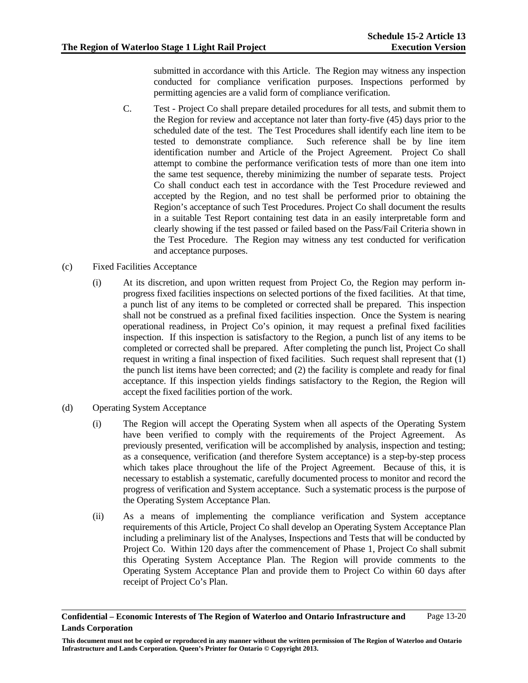submitted in accordance with this Article. The Region may witness any inspection conducted for compliance verification purposes. Inspections performed by permitting agencies are a valid form of compliance verification.

- C. Test Project Co shall prepare detailed procedures for all tests, and submit them to the Region for review and acceptance not later than forty-five (45) days prior to the scheduled date of the test. The Test Procedures shall identify each line item to be tested to demonstrate compliance. Such reference shall be by line item identification number and Article of the Project Agreement. Project Co shall attempt to combine the performance verification tests of more than one item into the same test sequence, thereby minimizing the number of separate tests. Project Co shall conduct each test in accordance with the Test Procedure reviewed and accepted by the Region, and no test shall be performed prior to obtaining the Region's acceptance of such Test Procedures. Project Co shall document the results in a suitable Test Report containing test data in an easily interpretable form and clearly showing if the test passed or failed based on the Pass/Fail Criteria shown in the Test Procedure. The Region may witness any test conducted for verification and acceptance purposes.
- (c) Fixed Facilities Acceptance
	- (i) At its discretion, and upon written request from Project Co, the Region may perform inprogress fixed facilities inspections on selected portions of the fixed facilities. At that time, a punch list of any items to be completed or corrected shall be prepared. This inspection shall not be construed as a prefinal fixed facilities inspection. Once the System is nearing operational readiness, in Project Co's opinion, it may request a prefinal fixed facilities inspection. If this inspection is satisfactory to the Region, a punch list of any items to be completed or corrected shall be prepared. After completing the punch list, Project Co shall request in writing a final inspection of fixed facilities. Such request shall represent that (1) the punch list items have been corrected; and (2) the facility is complete and ready for final acceptance. If this inspection yields findings satisfactory to the Region, the Region will accept the fixed facilities portion of the work.
- (d) Operating System Acceptance
	- (i) The Region will accept the Operating System when all aspects of the Operating System have been verified to comply with the requirements of the Project Agreement. As previously presented, verification will be accomplished by analysis, inspection and testing; as a consequence, verification (and therefore System acceptance) is a step-by-step process which takes place throughout the life of the Project Agreement. Because of this, it is necessary to establish a systematic, carefully documented process to monitor and record the progress of verification and System acceptance. Such a systematic process is the purpose of the Operating System Acceptance Plan.
	- (ii) As a means of implementing the compliance verification and System acceptance requirements of this Article, Project Co shall develop an Operating System Acceptance Plan including a preliminary list of the Analyses, Inspections and Tests that will be conducted by Project Co. Within 120 days after the commencement of Phase 1, Project Co shall submit this Operating System Acceptance Plan. The Region will provide comments to the Operating System Acceptance Plan and provide them to Project Co within 60 days after receipt of Project Co's Plan.

**Confidential – Economic Interests of The Region of Waterloo and Ontario Infrastructure and Lands Corporation**  Page 13-20

**This document must not be copied or reproduced in any manner without the written permission of The Region of Waterloo and Ontario Infrastructure and Lands Corporation. Queen's Printer for Ontario © Copyright 2013.**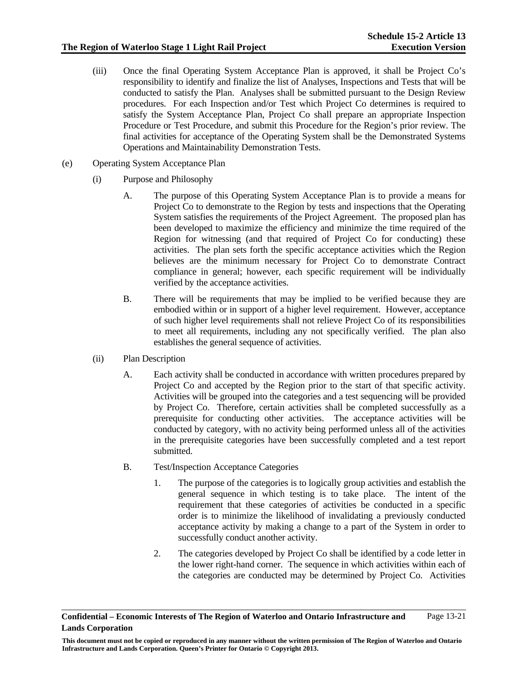- (iii) Once the final Operating System Acceptance Plan is approved, it shall be Project Co's responsibility to identify and finalize the list of Analyses, Inspections and Tests that will be conducted to satisfy the Plan. Analyses shall be submitted pursuant to the Design Review procedures. For each Inspection and/or Test which Project Co determines is required to satisfy the System Acceptance Plan, Project Co shall prepare an appropriate Inspection Procedure or Test Procedure, and submit this Procedure for the Region's prior review. The final activities for acceptance of the Operating System shall be the Demonstrated Systems Operations and Maintainability Demonstration Tests.
- (e) Operating System Acceptance Plan
	- (i) Purpose and Philosophy
		- A. The purpose of this Operating System Acceptance Plan is to provide a means for Project Co to demonstrate to the Region by tests and inspections that the Operating System satisfies the requirements of the Project Agreement. The proposed plan has been developed to maximize the efficiency and minimize the time required of the Region for witnessing (and that required of Project Co for conducting) these activities. The plan sets forth the specific acceptance activities which the Region believes are the minimum necessary for Project Co to demonstrate Contract compliance in general; however, each specific requirement will be individually verified by the acceptance activities.
		- B. There will be requirements that may be implied to be verified because they are embodied within or in support of a higher level requirement. However, acceptance of such higher level requirements shall not relieve Project Co of its responsibilities to meet all requirements, including any not specifically verified. The plan also establishes the general sequence of activities.
	- (ii) Plan Description
		- A. Each activity shall be conducted in accordance with written procedures prepared by Project Co and accepted by the Region prior to the start of that specific activity. Activities will be grouped into the categories and a test sequencing will be provided by Project Co. Therefore, certain activities shall be completed successfully as a prerequisite for conducting other activities. The acceptance activities will be conducted by category, with no activity being performed unless all of the activities in the prerequisite categories have been successfully completed and a test report submitted.
		- B. Test/Inspection Acceptance Categories
			- 1. The purpose of the categories is to logically group activities and establish the general sequence in which testing is to take place. The intent of the requirement that these categories of activities be conducted in a specific order is to minimize the likelihood of invalidating a previously conducted acceptance activity by making a change to a part of the System in order to successfully conduct another activity.
			- 2. The categories developed by Project Co shall be identified by a code letter in the lower right-hand corner. The sequence in which activities within each of the categories are conducted may be determined by Project Co. Activities

**Confidential – Economic Interests of The Region of Waterloo and Ontario Infrastructure and Lands Corporation**  Page 13-21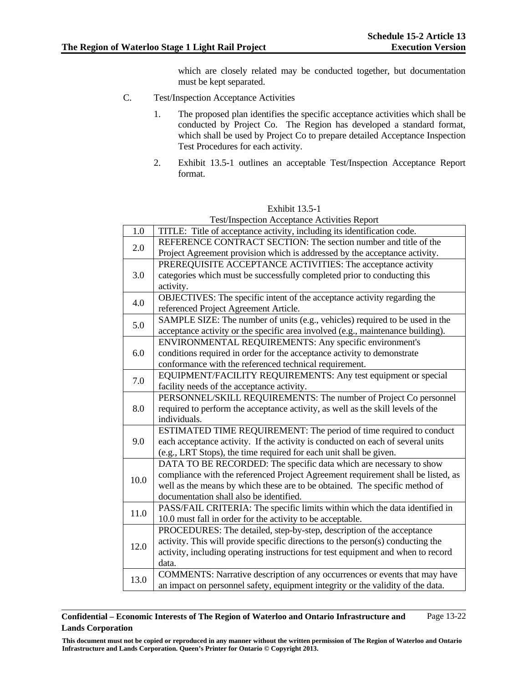which are closely related may be conducted together, but documentation must be kept separated.

- C. Test/Inspection Acceptance Activities
	- 1. The proposed plan identifies the specific acceptance activities which shall be conducted by Project Co. The Region has developed a standard format, which shall be used by Project Co to prepare detailed Acceptance Inspection Test Procedures for each activity.
	- 2. Exhibit 13.5-1 outlines an acceptable Test/Inspection Acceptance Report format.

| <b>Test/Inspection Acceptance Activities Report</b> |                                                                                  |  |
|-----------------------------------------------------|----------------------------------------------------------------------------------|--|
| 1.0                                                 | TITLE: Title of acceptance activity, including its identification code.          |  |
| 2.0                                                 | REFERENCE CONTRACT SECTION: The section number and title of the                  |  |
|                                                     | Project Agreement provision which is addressed by the acceptance activity.       |  |
| 3.0                                                 | PREREQUISITE ACCEPTANCE ACTIVITIES: The acceptance activity                      |  |
|                                                     | categories which must be successfully completed prior to conducting this         |  |
|                                                     | activity.                                                                        |  |
| 4.0                                                 | OBJECTIVES: The specific intent of the acceptance activity regarding the         |  |
|                                                     | referenced Project Agreement Article.                                            |  |
| 5.0                                                 | SAMPLE SIZE: The number of units (e.g., vehicles) required to be used in the     |  |
|                                                     | acceptance activity or the specific area involved (e.g., maintenance building).  |  |
| 6.0                                                 | ENVIRONMENTAL REQUIREMENTS: Any specific environment's                           |  |
|                                                     | conditions required in order for the acceptance activity to demonstrate          |  |
|                                                     | conformance with the referenced technical requirement.                           |  |
| 7.0                                                 | EQUIPMENT/FACILITY REQUIREMENTS: Any test equipment or special                   |  |
|                                                     | facility needs of the acceptance activity.                                       |  |
|                                                     | PERSONNEL/SKILL REQUIREMENTS: The number of Project Co personnel                 |  |
| 8.0                                                 | required to perform the acceptance activity, as well as the skill levels of the  |  |
|                                                     | individuals.                                                                     |  |
|                                                     | ESTIMATED TIME REQUIREMENT: The period of time required to conduct               |  |
| 9.0                                                 | each acceptance activity. If the activity is conducted on each of several units  |  |
|                                                     | (e.g., LRT Stops), the time required for each unit shall be given.               |  |
|                                                     | DATA TO BE RECORDED: The specific data which are necessary to show               |  |
| 10.0                                                | compliance with the referenced Project Agreement requirement shall be listed, as |  |
|                                                     | well as the means by which these are to be obtained. The specific method of      |  |
|                                                     | documentation shall also be identified.                                          |  |
| 11.0                                                | PASS/FAIL CRITERIA: The specific limits within which the data identified in      |  |
|                                                     | 10.0 must fall in order for the activity to be acceptable.                       |  |
| 12.0                                                | PROCEDURES: The detailed, step-by-step, description of the acceptance            |  |
|                                                     | activity. This will provide specific directions to the person(s) conducting the  |  |
|                                                     | activity, including operating instructions for test equipment and when to record |  |
|                                                     | data.                                                                            |  |
| 13.0                                                | COMMENTS: Narrative description of any occurrences or events that may have       |  |
|                                                     | an impact on personnel safety, equipment integrity or the validity of the data.  |  |

Exhibit 13.5-1

#### **Confidential – Economic Interests of The Region of Waterloo and Ontario Infrastructure and Lands Corporation**  Page 13-22

**This document must not be copied or reproduced in any manner without the written permission of The Region of Waterloo and Ontario Infrastructure and Lands Corporation. Queen's Printer for Ontario © Copyright 2013.**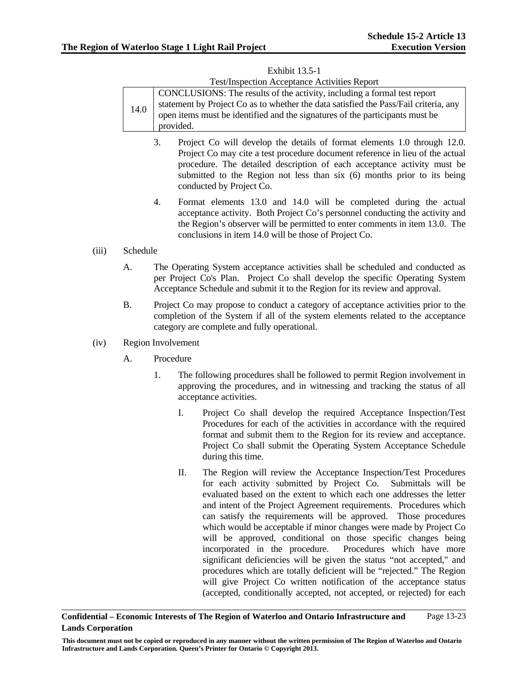| <b>Test/Inspection Acceptance Activities Report</b> |                                                                                      |  |  |
|-----------------------------------------------------|--------------------------------------------------------------------------------------|--|--|
| 14.0                                                | CONCLUSIONS: The results of the activity, including a formal test report             |  |  |
|                                                     | statement by Project Co as to whether the data satisfied the Pass/Fail criteria, any |  |  |
|                                                     | open items must be identified and the signatures of the participants must be         |  |  |
|                                                     | provided.                                                                            |  |  |

# Exhibit 13.5-1

- 3. Project Co will develop the details of format elements 1.0 through 12.0. Project Co may cite a test procedure document reference in lieu of the actual procedure. The detailed description of each acceptance activity must be submitted to the Region not less than six (6) months prior to its being conducted by Project Co.
- 4. Format elements 13.0 and 14.0 will be completed during the actual acceptance activity. Both Project Co's personnel conducting the activity and the Region's observer will be permitted to enter comments in item 13.0. The conclusions in item 14.0 will be those of Project Co.

# (iii) Schedule

- A. The Operating System acceptance activities shall be scheduled and conducted as per Project Co's Plan. Project Co shall develop the specific Operating System Acceptance Schedule and submit it to the Region for its review and approval.
- B. Project Co may propose to conduct a category of acceptance activities prior to the completion of the System if all of the system elements related to the acceptance category are complete and fully operational.

### (iv) Region Involvement

- A. Procedure
	- 1. The following procedures shall be followed to permit Region involvement in approving the procedures, and in witnessing and tracking the status of all acceptance activities.
		- I. Project Co shall develop the required Acceptance Inspection/Test Procedures for each of the activities in accordance with the required format and submit them to the Region for its review and acceptance. Project Co shall submit the Operating System Acceptance Schedule during this time.
		- II. The Region will review the Acceptance Inspection/Test Procedures for each activity submitted by Project Co. Submittals will be evaluated based on the extent to which each one addresses the letter and intent of the Project Agreement requirements. Procedures which can satisfy the requirements will be approved. Those procedures which would be acceptable if minor changes were made by Project Co will be approved, conditional on those specific changes being incorporated in the procedure. Procedures which have more significant deficiencies will be given the status "not accepted," and procedures which are totally deficient will be "rejected." The Region will give Project Co written notification of the acceptance status (accepted, conditionally accepted, not accepted, or rejected) for each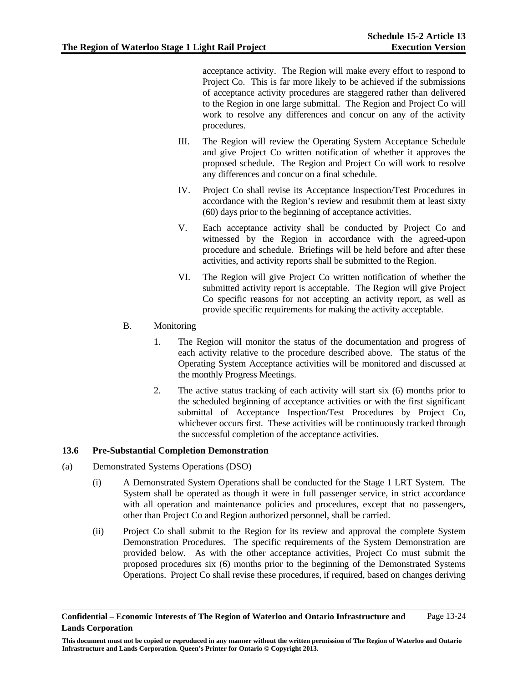acceptance activity. The Region will make every effort to respond to Project Co. This is far more likely to be achieved if the submissions of acceptance activity procedures are staggered rather than delivered to the Region in one large submittal. The Region and Project Co will work to resolve any differences and concur on any of the activity procedures.

- III. The Region will review the Operating System Acceptance Schedule and give Project Co written notification of whether it approves the proposed schedule. The Region and Project Co will work to resolve any differences and concur on a final schedule.
- IV. Project Co shall revise its Acceptance Inspection/Test Procedures in accordance with the Region's review and resubmit them at least sixty (60) days prior to the beginning of acceptance activities.
- V. Each acceptance activity shall be conducted by Project Co and witnessed by the Region in accordance with the agreed-upon procedure and schedule. Briefings will be held before and after these activities, and activity reports shall be submitted to the Region.
- VI. The Region will give Project Co written notification of whether the submitted activity report is acceptable. The Region will give Project Co specific reasons for not accepting an activity report, as well as provide specific requirements for making the activity acceptable.
- B. Monitoring
	- 1. The Region will monitor the status of the documentation and progress of each activity relative to the procedure described above. The status of the Operating System Acceptance activities will be monitored and discussed at the monthly Progress Meetings.
	- 2. The active status tracking of each activity will start six (6) months prior to the scheduled beginning of acceptance activities or with the first significant submittal of Acceptance Inspection/Test Procedures by Project Co, whichever occurs first. These activities will be continuously tracked through the successful completion of the acceptance activities.

# **13.6 Pre-Substantial Completion Demonstration**

- (a) Demonstrated Systems Operations (DSO)
	- (i) A Demonstrated System Operations shall be conducted for the Stage 1 LRT System. The System shall be operated as though it were in full passenger service, in strict accordance with all operation and maintenance policies and procedures, except that no passengers, other than Project Co and Region authorized personnel, shall be carried.
	- (ii) Project Co shall submit to the Region for its review and approval the complete System Demonstration Procedures. The specific requirements of the System Demonstration are provided below. As with the other acceptance activities, Project Co must submit the proposed procedures six (6) months prior to the beginning of the Demonstrated Systems Operations. Project Co shall revise these procedures, if required, based on changes deriving

**Confidential – Economic Interests of The Region of Waterloo and Ontario Infrastructure and Lands Corporation**  Page 13-24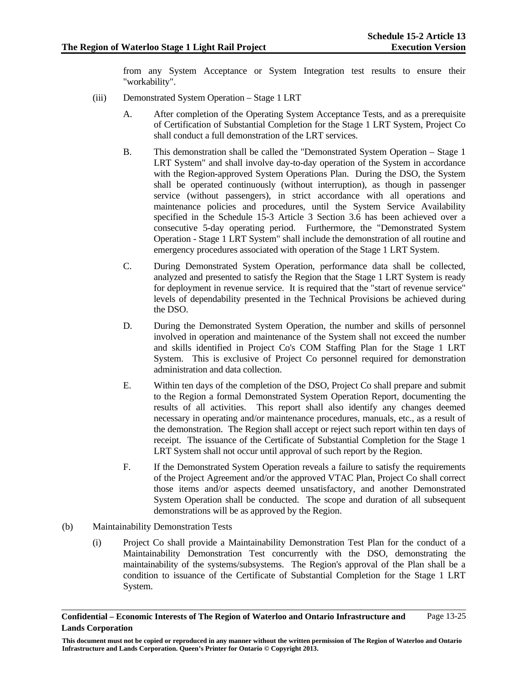from any System Acceptance or System Integration test results to ensure their "workability".

- (iii) Demonstrated System Operation Stage 1 LRT
	- A. After completion of the Operating System Acceptance Tests, and as a prerequisite of Certification of Substantial Completion for the Stage 1 LRT System, Project Co shall conduct a full demonstration of the LRT services.
	- B. This demonstration shall be called the "Demonstrated System Operation Stage 1 LRT System" and shall involve day-to-day operation of the System in accordance with the Region-approved System Operations Plan. During the DSO, the System shall be operated continuously (without interruption), as though in passenger service (without passengers), in strict accordance with all operations and maintenance policies and procedures, until the System Service Availability specified in the Schedule 15-3 Article 3 Section 3.6 has been achieved over a consecutive 5-day operating period. Furthermore, the "Demonstrated System Operation - Stage 1 LRT System" shall include the demonstration of all routine and emergency procedures associated with operation of the Stage 1 LRT System.
	- C. During Demonstrated System Operation, performance data shall be collected, analyzed and presented to satisfy the Region that the Stage 1 LRT System is ready for deployment in revenue service. It is required that the "start of revenue service" levels of dependability presented in the Technical Provisions be achieved during the DSO.
	- D. During the Demonstrated System Operation, the number and skills of personnel involved in operation and maintenance of the System shall not exceed the number and skills identified in Project Co's COM Staffing Plan for the Stage 1 LRT System. This is exclusive of Project Co personnel required for demonstration administration and data collection.
	- E. Within ten days of the completion of the DSO, Project Co shall prepare and submit to the Region a formal Demonstrated System Operation Report, documenting the results of all activities. This report shall also identify any changes deemed necessary in operating and/or maintenance procedures, manuals, etc., as a result of the demonstration. The Region shall accept or reject such report within ten days of receipt. The issuance of the Certificate of Substantial Completion for the Stage 1 LRT System shall not occur until approval of such report by the Region.
	- F. If the Demonstrated System Operation reveals a failure to satisfy the requirements of the Project Agreement and/or the approved VTAC Plan, Project Co shall correct those items and/or aspects deemed unsatisfactory, and another Demonstrated System Operation shall be conducted. The scope and duration of all subsequent demonstrations will be as approved by the Region.
- (b) Maintainability Demonstration Tests
	- (i) Project Co shall provide a Maintainability Demonstration Test Plan for the conduct of a Maintainability Demonstration Test concurrently with the DSO, demonstrating the maintainability of the systems/subsystems. The Region's approval of the Plan shall be a condition to issuance of the Certificate of Substantial Completion for the Stage 1 LRT System.

**Confidential – Economic Interests of The Region of Waterloo and Ontario Infrastructure and Lands Corporation**  Page 13-25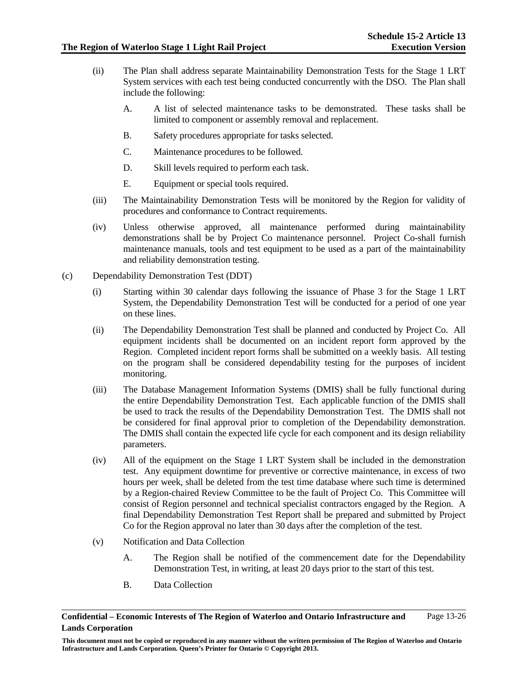- (ii) The Plan shall address separate Maintainability Demonstration Tests for the Stage 1 LRT System services with each test being conducted concurrently with the DSO. The Plan shall include the following:
	- A. A list of selected maintenance tasks to be demonstrated. These tasks shall be limited to component or assembly removal and replacement.
	- B. Safety procedures appropriate for tasks selected.
	- C. Maintenance procedures to be followed.
	- D. Skill levels required to perform each task.
	- E. Equipment or special tools required.
- (iii) The Maintainability Demonstration Tests will be monitored by the Region for validity of procedures and conformance to Contract requirements.
- (iv) Unless otherwise approved, all maintenance performed during maintainability demonstrations shall be by Project Co maintenance personnel. Project Co-shall furnish maintenance manuals, tools and test equipment to be used as a part of the maintainability and reliability demonstration testing.
- (c) Dependability Demonstration Test (DDT)
	- (i) Starting within 30 calendar days following the issuance of Phase 3 for the Stage 1 LRT System, the Dependability Demonstration Test will be conducted for a period of one year on these lines.
	- (ii) The Dependability Demonstration Test shall be planned and conducted by Project Co. All equipment incidents shall be documented on an incident report form approved by the Region. Completed incident report forms shall be submitted on a weekly basis. All testing on the program shall be considered dependability testing for the purposes of incident monitoring.
	- (iii) The Database Management Information Systems (DMIS) shall be fully functional during the entire Dependability Demonstration Test. Each applicable function of the DMIS shall be used to track the results of the Dependability Demonstration Test. The DMIS shall not be considered for final approval prior to completion of the Dependability demonstration. The DMIS shall contain the expected life cycle for each component and its design reliability parameters.
	- (iv) All of the equipment on the Stage 1 LRT System shall be included in the demonstration test. Any equipment downtime for preventive or corrective maintenance, in excess of two hours per week, shall be deleted from the test time database where such time is determined by a Region-chaired Review Committee to be the fault of Project Co. This Committee will consist of Region personnel and technical specialist contractors engaged by the Region. A final Dependability Demonstration Test Report shall be prepared and submitted by Project Co for the Region approval no later than 30 days after the completion of the test.
	- (v) Notification and Data Collection
		- A. The Region shall be notified of the commencement date for the Dependability Demonstration Test, in writing, at least 20 days prior to the start of this test.
		- B. Data Collection

**Confidential – Economic Interests of The Region of Waterloo and Ontario Infrastructure and Lands Corporation**  Page 13-26

**This document must not be copied or reproduced in any manner without the written permission of The Region of Waterloo and Ontario Infrastructure and Lands Corporation. Queen's Printer for Ontario © Copyright 2013.**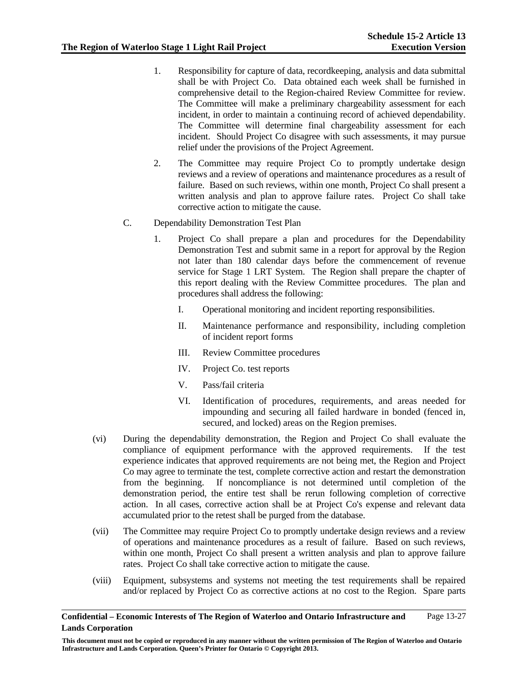- 1. Responsibility for capture of data, recordkeeping, analysis and data submittal shall be with Project Co. Data obtained each week shall be furnished in comprehensive detail to the Region-chaired Review Committee for review. The Committee will make a preliminary chargeability assessment for each incident, in order to maintain a continuing record of achieved dependability. The Committee will determine final chargeability assessment for each incident. Should Project Co disagree with such assessments, it may pursue relief under the provisions of the Project Agreement.
- 2. The Committee may require Project Co to promptly undertake design reviews and a review of operations and maintenance procedures as a result of failure. Based on such reviews, within one month, Project Co shall present a written analysis and plan to approve failure rates. Project Co shall take corrective action to mitigate the cause.
- C. Dependability Demonstration Test Plan
	- 1. Project Co shall prepare a plan and procedures for the Dependability Demonstration Test and submit same in a report for approval by the Region not later than 180 calendar days before the commencement of revenue service for Stage 1 LRT System. The Region shall prepare the chapter of this report dealing with the Review Committee procedures. The plan and procedures shall address the following:
		- I. Operational monitoring and incident reporting responsibilities.
		- II. Maintenance performance and responsibility, including completion of incident report forms
		- III. Review Committee procedures
		- IV. Project Co. test reports
		- V. Pass/fail criteria
		- VI. Identification of procedures, requirements, and areas needed for impounding and securing all failed hardware in bonded (fenced in, secured, and locked) areas on the Region premises.
- (vi) During the dependability demonstration, the Region and Project Co shall evaluate the compliance of equipment performance with the approved requirements. If the test experience indicates that approved requirements are not being met, the Region and Project Co may agree to terminate the test, complete corrective action and restart the demonstration from the beginning. If noncompliance is not determined until completion of the demonstration period, the entire test shall be rerun following completion of corrective action. In all cases, corrective action shall be at Project Co's expense and relevant data accumulated prior to the retest shall be purged from the database.
- (vii) The Committee may require Project Co to promptly undertake design reviews and a review of operations and maintenance procedures as a result of failure. Based on such reviews, within one month, Project Co shall present a written analysis and plan to approve failure rates. Project Co shall take corrective action to mitigate the cause.
- (viii) Equipment, subsystems and systems not meeting the test requirements shall be repaired and/or replaced by Project Co as corrective actions at no cost to the Region. Spare parts

**This document must not be copied or reproduced in any manner without the written permission of The Region of Waterloo and Ontario Infrastructure and Lands Corporation. Queen's Printer for Ontario © Copyright 2013.**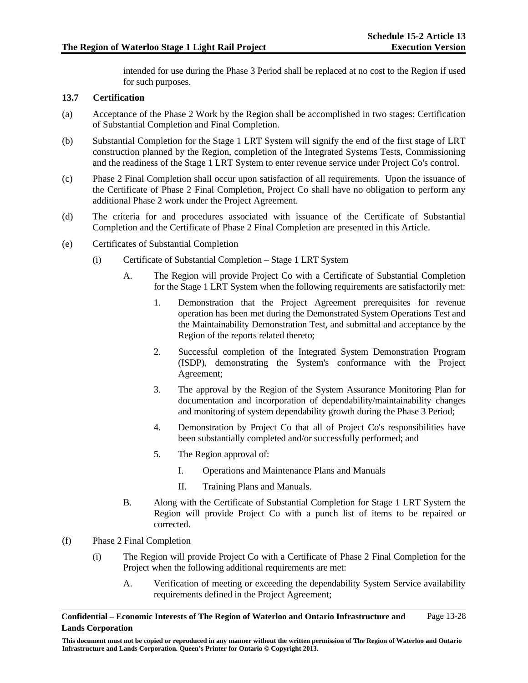intended for use during the Phase 3 Period shall be replaced at no cost to the Region if used for such purposes.

# **13.7 Certification**

- (a) Acceptance of the Phase 2 Work by the Region shall be accomplished in two stages: Certification of Substantial Completion and Final Completion.
- (b) Substantial Completion for the Stage 1 LRT System will signify the end of the first stage of LRT construction planned by the Region, completion of the Integrated Systems Tests, Commissioning and the readiness of the Stage 1 LRT System to enter revenue service under Project Co's control.
- (c) Phase 2 Final Completion shall occur upon satisfaction of all requirements. Upon the issuance of the Certificate of Phase 2 Final Completion, Project Co shall have no obligation to perform any additional Phase 2 work under the Project Agreement.
- (d) The criteria for and procedures associated with issuance of the Certificate of Substantial Completion and the Certificate of Phase 2 Final Completion are presented in this Article.
- (e) Certificates of Substantial Completion
	- (i) Certificate of Substantial Completion Stage 1 LRT System
		- A. The Region will provide Project Co with a Certificate of Substantial Completion for the Stage 1 LRT System when the following requirements are satisfactorily met:
			- 1. Demonstration that the Project Agreement prerequisites for revenue operation has been met during the Demonstrated System Operations Test and the Maintainability Demonstration Test, and submittal and acceptance by the Region of the reports related thereto;
			- 2. Successful completion of the Integrated System Demonstration Program (ISDP), demonstrating the System's conformance with the Project Agreement;
			- 3. The approval by the Region of the System Assurance Monitoring Plan for documentation and incorporation of dependability/maintainability changes and monitoring of system dependability growth during the Phase 3 Period;
			- 4. Demonstration by Project Co that all of Project Co's responsibilities have been substantially completed and/or successfully performed; and
			- 5. The Region approval of:
				- I. Operations and Maintenance Plans and Manuals
				- II. Training Plans and Manuals.
		- B. Along with the Certificate of Substantial Completion for Stage 1 LRT System the Region will provide Project Co with a punch list of items to be repaired or corrected.
- (f) Phase 2 Final Completion
	- (i) The Region will provide Project Co with a Certificate of Phase 2 Final Completion for the Project when the following additional requirements are met:
		- A. Verification of meeting or exceeding the dependability System Service availability requirements defined in the Project Agreement;

**Confidential – Economic Interests of The Region of Waterloo and Ontario Infrastructure and Lands Corporation**  Page 13-28

**This document must not be copied or reproduced in any manner without the written permission of The Region of Waterloo and Ontario Infrastructure and Lands Corporation. Queen's Printer for Ontario © Copyright 2013.**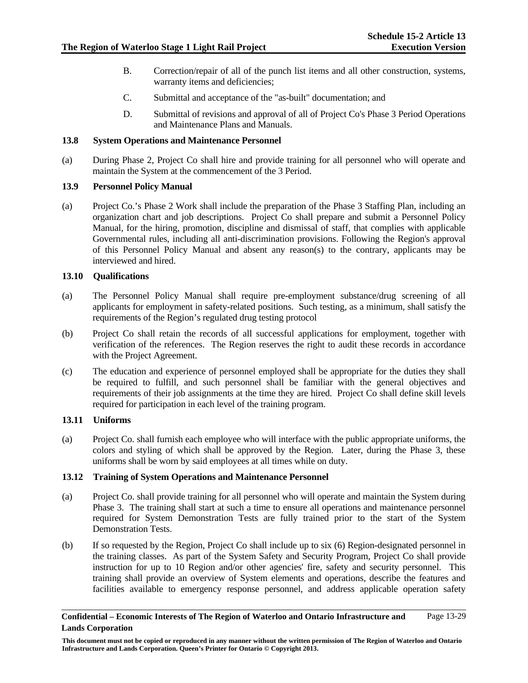- B. Correction/repair of all of the punch list items and all other construction, systems, warranty items and deficiencies:
- C. Submittal and acceptance of the "as-built" documentation; and
- D. Submittal of revisions and approval of all of Project Co's Phase 3 Period Operations and Maintenance Plans and Manuals.

# **13.8 System Operations and Maintenance Personnel**

(a) During Phase 2, Project Co shall hire and provide training for all personnel who will operate and maintain the System at the commencement of the 3 Period.

# **13.9 Personnel Policy Manual**

(a) Project Co.'s Phase 2 Work shall include the preparation of the Phase 3 Staffing Plan, including an organization chart and job descriptions. Project Co shall prepare and submit a Personnel Policy Manual, for the hiring, promotion, discipline and dismissal of staff, that complies with applicable Governmental rules, including all anti-discrimination provisions. Following the Region's approval of this Personnel Policy Manual and absent any reason(s) to the contrary, applicants may be interviewed and hired.

# **13.10 Qualifications**

- (a) The Personnel Policy Manual shall require pre-employment substance/drug screening of all applicants for employment in safety-related positions. Such testing, as a minimum, shall satisfy the requirements of the Region's regulated drug testing protocol
- (b) Project Co shall retain the records of all successful applications for employment, together with verification of the references. The Region reserves the right to audit these records in accordance with the Project Agreement.
- (c) The education and experience of personnel employed shall be appropriate for the duties they shall be required to fulfill, and such personnel shall be familiar with the general objectives and requirements of their job assignments at the time they are hired. Project Co shall define skill levels required for participation in each level of the training program.

# **13.11 Uniforms**

(a) Project Co. shall furnish each employee who will interface with the public appropriate uniforms, the colors and styling of which shall be approved by the Region. Later, during the Phase 3, these uniforms shall be worn by said employees at all times while on duty.

### **13.12 Training of System Operations and Maintenance Personnel**

- (a) Project Co. shall provide training for all personnel who will operate and maintain the System during Phase 3. The training shall start at such a time to ensure all operations and maintenance personnel required for System Demonstration Tests are fully trained prior to the start of the System Demonstration Tests.
- (b) If so requested by the Region, Project Co shall include up to six (6) Region-designated personnel in the training classes. As part of the System Safety and Security Program, Project Co shall provide instruction for up to 10 Region and/or other agencies' fire, safety and security personnel. This training shall provide an overview of System elements and operations, describe the features and facilities available to emergency response personnel, and address applicable operation safety

**This document must not be copied or reproduced in any manner without the written permission of The Region of Waterloo and Ontario Infrastructure and Lands Corporation. Queen's Printer for Ontario © Copyright 2013.**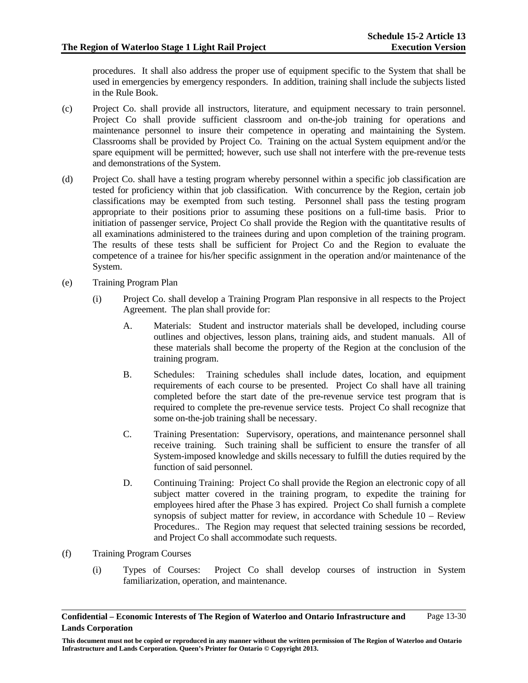procedures. It shall also address the proper use of equipment specific to the System that shall be used in emergencies by emergency responders. In addition, training shall include the subjects listed in the Rule Book.

- (c) Project Co. shall provide all instructors, literature, and equipment necessary to train personnel. Project Co shall provide sufficient classroom and on-the-job training for operations and maintenance personnel to insure their competence in operating and maintaining the System. Classrooms shall be provided by Project Co. Training on the actual System equipment and/or the spare equipment will be permitted; however, such use shall not interfere with the pre-revenue tests and demonstrations of the System.
- (d) Project Co. shall have a testing program whereby personnel within a specific job classification are tested for proficiency within that job classification. With concurrence by the Region, certain job classifications may be exempted from such testing. Personnel shall pass the testing program appropriate to their positions prior to assuming these positions on a full-time basis. Prior to initiation of passenger service, Project Co shall provide the Region with the quantitative results of all examinations administered to the trainees during and upon completion of the training program. The results of these tests shall be sufficient for Project Co and the Region to evaluate the competence of a trainee for his/her specific assignment in the operation and/or maintenance of the System.
- (e) Training Program Plan
	- (i) Project Co. shall develop a Training Program Plan responsive in all respects to the Project Agreement. The plan shall provide for:
		- A. Materials: Student and instructor materials shall be developed, including course outlines and objectives, lesson plans, training aids, and student manuals. All of these materials shall become the property of the Region at the conclusion of the training program.
		- B. Schedules: Training schedules shall include dates, location, and equipment requirements of each course to be presented. Project Co shall have all training completed before the start date of the pre-revenue service test program that is required to complete the pre-revenue service tests. Project Co shall recognize that some on-the-job training shall be necessary.
		- C. Training Presentation: Supervisory, operations, and maintenance personnel shall receive training. Such training shall be sufficient to ensure the transfer of all System-imposed knowledge and skills necessary to fulfill the duties required by the function of said personnel.
		- D. Continuing Training: Project Co shall provide the Region an electronic copy of all subject matter covered in the training program, to expedite the training for employees hired after the Phase 3 has expired. Project Co shall furnish a complete synopsis of subject matter for review, in accordance with Schedule 10 – Review Procedures.. The Region may request that selected training sessions be recorded, and Project Co shall accommodate such requests.
- (f) Training Program Courses
	- (i) Types of Courses: Project Co shall develop courses of instruction in System familiarization, operation, and maintenance.

**Confidential – Economic Interests of The Region of Waterloo and Ontario Infrastructure and Lands Corporation**  Page 13-30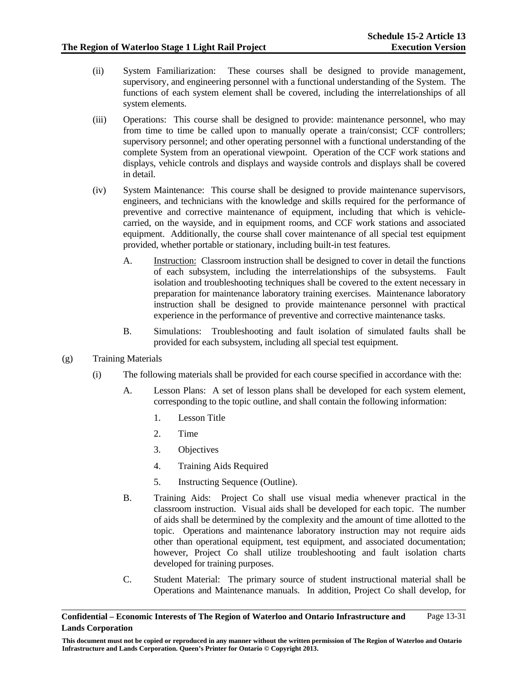- (ii) System Familiarization: These courses shall be designed to provide management, supervisory, and engineering personnel with a functional understanding of the System. The functions of each system element shall be covered, including the interrelationships of all system elements.
- (iii) Operations: This course shall be designed to provide: maintenance personnel, who may from time to time be called upon to manually operate a train/consist; CCF controllers; supervisory personnel; and other operating personnel with a functional understanding of the complete System from an operational viewpoint. Operation of the CCF work stations and displays, vehicle controls and displays and wayside controls and displays shall be covered in detail.
- (iv) System Maintenance: This course shall be designed to provide maintenance supervisors, engineers, and technicians with the knowledge and skills required for the performance of preventive and corrective maintenance of equipment, including that which is vehiclecarried, on the wayside, and in equipment rooms, and CCF work stations and associated equipment. Additionally, the course shall cover maintenance of all special test equipment provided, whether portable or stationary, including built-in test features.
	- A. Instruction: Classroom instruction shall be designed to cover in detail the functions of each subsystem, including the interrelationships of the subsystems. Fault isolation and troubleshooting techniques shall be covered to the extent necessary in preparation for maintenance laboratory training exercises. Maintenance laboratory instruction shall be designed to provide maintenance personnel with practical experience in the performance of preventive and corrective maintenance tasks.
	- B. Simulations: Troubleshooting and fault isolation of simulated faults shall be provided for each subsystem, including all special test equipment.
- (g) Training Materials
	- (i) The following materials shall be provided for each course specified in accordance with the:
		- A. Lesson Plans: A set of lesson plans shall be developed for each system element, corresponding to the topic outline, and shall contain the following information:
			- 1. Lesson Title
			- 2. Time
			- 3. Objectives
			- 4. Training Aids Required
			- 5. Instructing Sequence (Outline).
		- B. Training Aids: Project Co shall use visual media whenever practical in the classroom instruction. Visual aids shall be developed for each topic. The number of aids shall be determined by the complexity and the amount of time allotted to the topic. Operations and maintenance laboratory instruction may not require aids other than operational equipment, test equipment, and associated documentation; however, Project Co shall utilize troubleshooting and fault isolation charts developed for training purposes.
		- C. Student Material: The primary source of student instructional material shall be Operations and Maintenance manuals. In addition, Project Co shall develop, for

**Confidential – Economic Interests of The Region of Waterloo and Ontario Infrastructure and Lands Corporation**  Page 13-31

**This document must not be copied or reproduced in any manner without the written permission of The Region of Waterloo and Ontario Infrastructure and Lands Corporation. Queen's Printer for Ontario © Copyright 2013.**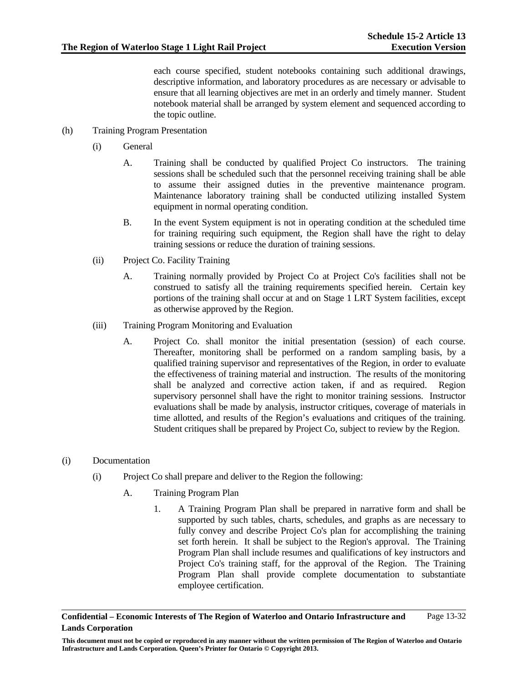each course specified, student notebooks containing such additional drawings, descriptive information, and laboratory procedures as are necessary or advisable to ensure that all learning objectives are met in an orderly and timely manner. Student notebook material shall be arranged by system element and sequenced according to the topic outline.

- (h) Training Program Presentation
	- (i) General
		- A. Training shall be conducted by qualified Project Co instructors. The training sessions shall be scheduled such that the personnel receiving training shall be able to assume their assigned duties in the preventive maintenance program. Maintenance laboratory training shall be conducted utilizing installed System equipment in normal operating condition.
		- B. In the event System equipment is not in operating condition at the scheduled time for training requiring such equipment, the Region shall have the right to delay training sessions or reduce the duration of training sessions.
	- (ii) Project Co. Facility Training
		- A. Training normally provided by Project Co at Project Co's facilities shall not be construed to satisfy all the training requirements specified herein. Certain key portions of the training shall occur at and on Stage 1 LRT System facilities, except as otherwise approved by the Region.
	- (iii) Training Program Monitoring and Evaluation
		- A. Project Co. shall monitor the initial presentation (session) of each course. Thereafter, monitoring shall be performed on a random sampling basis, by a qualified training supervisor and representatives of the Region, in order to evaluate the effectiveness of training material and instruction. The results of the monitoring shall be analyzed and corrective action taken, if and as required. Region supervisory personnel shall have the right to monitor training sessions. Instructor evaluations shall be made by analysis, instructor critiques, coverage of materials in time allotted, and results of the Region's evaluations and critiques of the training. Student critiques shall be prepared by Project Co, subject to review by the Region.

### (i) Documentation

- (i) Project Co shall prepare and deliver to the Region the following:
	- A. Training Program Plan
		- 1. A Training Program Plan shall be prepared in narrative form and shall be supported by such tables, charts, schedules, and graphs as are necessary to fully convey and describe Project Co's plan for accomplishing the training set forth herein. It shall be subject to the Region's approval. The Training Program Plan shall include resumes and qualifications of key instructors and Project Co's training staff, for the approval of the Region. The Training Program Plan shall provide complete documentation to substantiate employee certification.

**Confidential – Economic Interests of The Region of Waterloo and Ontario Infrastructure and Lands Corporation**  Page 13-32

**This document must not be copied or reproduced in any manner without the written permission of The Region of Waterloo and Ontario Infrastructure and Lands Corporation. Queen's Printer for Ontario © Copyright 2013.**